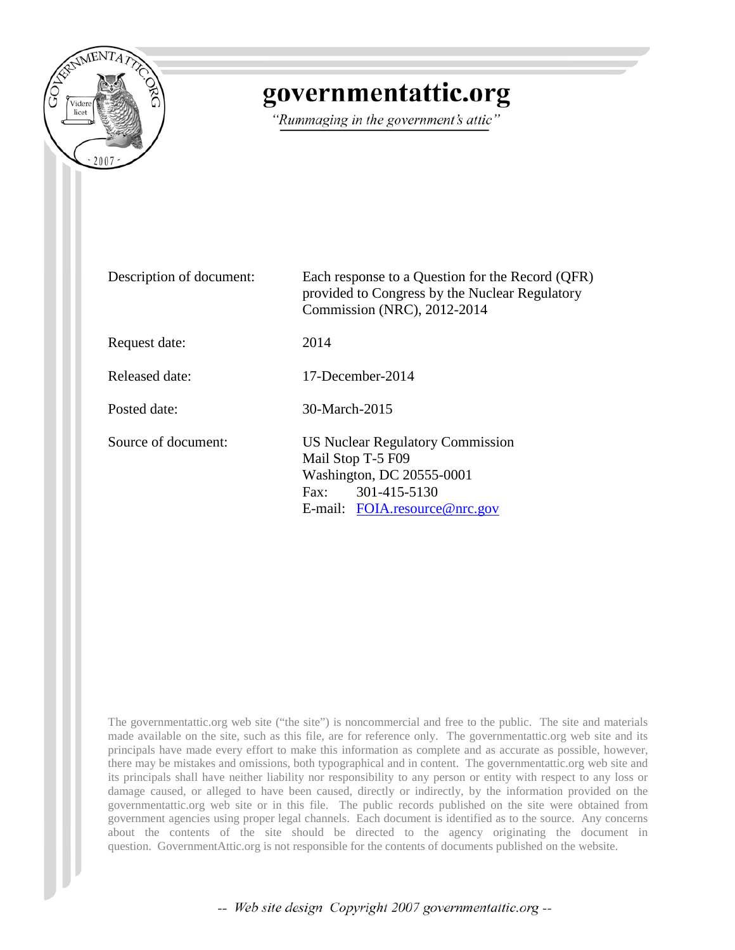

# governmentattic.org

"Rummaging in the government's attic"

| Description of document: | Each response to a Question for the Record (QFR)<br>provided to Congress by the Nuclear Regulatory<br>Commission (NRC), 2012-2014                          |
|--------------------------|------------------------------------------------------------------------------------------------------------------------------------------------------------|
| Request date:            | 2014                                                                                                                                                       |
| Released date:           | $17$ -December-2014                                                                                                                                        |
| Posted date:             | 30-March-2015                                                                                                                                              |
| Source of document:      | <b>US Nuclear Regulatory Commission</b><br>Mail Stop T-5 F09<br>Washington, DC 20555-0001<br>301-415-5130<br>$\text{Fax}$<br>E-mail: FOIA.resource@nrc.gov |

The governmentattic.org web site ("the site") is noncommercial and free to the public. The site and materials made available on the site, such as this file, are for reference only. The governmentattic.org web site and its principals have made every effort to make this information as complete and as accurate as possible, however, there may be mistakes and omissions, both typographical and in content. The governmentattic.org web site and its principals shall have neither liability nor responsibility to any person or entity with respect to any loss or damage caused, or alleged to have been caused, directly or indirectly, by the information provided on the governmentattic.org web site or in this file. The public records published on the site were obtained from government agencies using proper legal channels. Each document is identified as to the source. Any concerns about the contents of the site should be directed to the agency originating the document in question. GovernmentAttic.org is not responsible for the contents of documents published on the website.

-- Web site design Copyright 2007 governmentattic.org --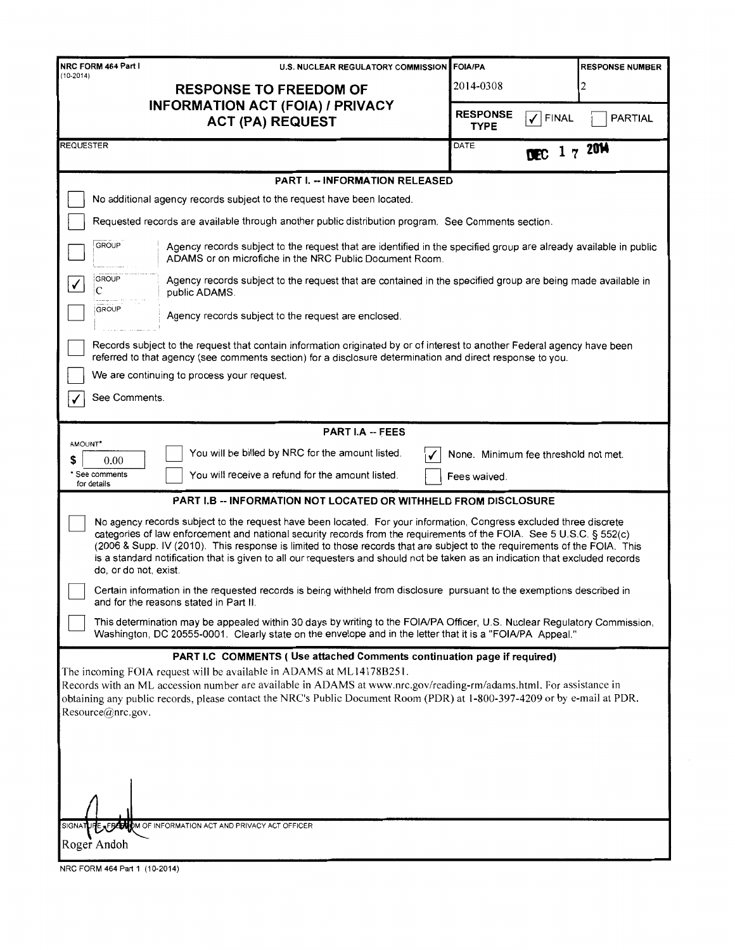| NRC FORM 464 Part I<br>U.S. NUCLEAR REGULATORY COMMISSION                                                                                                                                                                                                                                                                                                                                                                                                                                                                         | <b>FOIA/PA</b>                                 | <b>RESPONSE NUMBER</b> |  |
|-----------------------------------------------------------------------------------------------------------------------------------------------------------------------------------------------------------------------------------------------------------------------------------------------------------------------------------------------------------------------------------------------------------------------------------------------------------------------------------------------------------------------------------|------------------------------------------------|------------------------|--|
| $(10-2014)$<br><b>RESPONSE TO FREEDOM OF</b>                                                                                                                                                                                                                                                                                                                                                                                                                                                                                      | 2014-0308                                      | 2                      |  |
| <b>INFORMATION ACT (FOIA) / PRIVACY</b><br><b>ACT (PA) REQUEST</b>                                                                                                                                                                                                                                                                                                                                                                                                                                                                | <b>RESPONSE</b><br><b>FINAL</b><br><b>TYPE</b> | <b>PARTIAL</b>         |  |
| <b>REQUESTER</b>                                                                                                                                                                                                                                                                                                                                                                                                                                                                                                                  | DATE<br>ŒC                                     | 1720M                  |  |
| <b>PART I. -- INFORMATION RELEASED</b>                                                                                                                                                                                                                                                                                                                                                                                                                                                                                            |                                                |                        |  |
| No additional agency records subject to the request have been located.                                                                                                                                                                                                                                                                                                                                                                                                                                                            |                                                |                        |  |
| Requested records are available through another public distribution program. See Comments section.                                                                                                                                                                                                                                                                                                                                                                                                                                |                                                |                        |  |
| <b>GROUP</b><br>Agency records subject to the request that are identified in the specified group are already available in public<br>ADAMS or on microfiche in the NRC Public Document Room.                                                                                                                                                                                                                                                                                                                                       |                                                |                        |  |
| <b>GROUP</b><br>Agency records subject to the request that are contained in the specified group are being made available in<br>✓<br>C<br>public ADAMS.                                                                                                                                                                                                                                                                                                                                                                            |                                                |                        |  |
| <b>GROUP</b><br>Agency records subject to the request are enclosed.                                                                                                                                                                                                                                                                                                                                                                                                                                                               |                                                |                        |  |
| Records subject to the request that contain information originated by or of interest to another Federal agency have been<br>referred to that agency (see comments section) for a disclosure determination and direct response to you.                                                                                                                                                                                                                                                                                             |                                                |                        |  |
| We are continuing to process your request.                                                                                                                                                                                                                                                                                                                                                                                                                                                                                        |                                                |                        |  |
| See Comments.                                                                                                                                                                                                                                                                                                                                                                                                                                                                                                                     |                                                |                        |  |
| <b>PART I.A -- FEES</b>                                                                                                                                                                                                                                                                                                                                                                                                                                                                                                           |                                                |                        |  |
| AMOUNT*<br>You will be billed by NRC for the amount listed.<br>0.00<br>S                                                                                                                                                                                                                                                                                                                                                                                                                                                          | None. Minimum fee threshold not met.           |                        |  |
| * See comments<br>You will receive a refund for the amount listed.<br>for details                                                                                                                                                                                                                                                                                                                                                                                                                                                 | Fees waived.                                   |                        |  |
| <b>PART I.B -- INFORMATION NOT LOCATED OR WITHHELD FROM DISCLOSURE</b>                                                                                                                                                                                                                                                                                                                                                                                                                                                            |                                                |                        |  |
| No agency records subject to the request have been located. For your information, Congress excluded three discrete<br>categories of law enforcement and national security records from the requirements of the FOIA. See 5 U.S.C. § 552(c)<br>(2006 & Supp. IV (2010). This response is limited to those records that are subject to the requirements of the FOIA. This<br>is a standard notification that is given to all our requesters and should not be taken as an indication that excluded records<br>do, or do not, exist. |                                                |                        |  |
| Certain information in the requested records is being withheld from disclosure pursuant to the exemptions described in<br>and for the reasons stated in Part II.                                                                                                                                                                                                                                                                                                                                                                  |                                                |                        |  |
| This determination may be appealed within 30 days by writing to the FOIA/PA Officer, U.S. Nuclear Regulatory Commission,<br>Washington, DC 20555-0001. Clearly state on the envelope and in the letter that it is a "FOIA/PA Appeal."                                                                                                                                                                                                                                                                                             |                                                |                        |  |
| PART I.C COMMENTS ( Use attached Comments continuation page if required)<br>The incoming FOIA request will be available in ADAMS at ML14178B251.<br>Records with an ML accession number are available in ADAMS at www.nrc.gov/reading-rm/adams.html. For assistance in<br>obtaining any public records, please contact the NRC's Public Document Room (PDR) at 1-800-397-4209 or by e-mail at PDR.<br>Resource@nrc.gov.                                                                                                           |                                                |                        |  |
| SIGNATURE AFRECHOM OF INFORMATION ACT AND PRIVACY ACT OFFICER<br>Roger Andoh                                                                                                                                                                                                                                                                                                                                                                                                                                                      |                                                |                        |  |
| NRC FORM 464 Part 1 (10-2014)                                                                                                                                                                                                                                                                                                                                                                                                                                                                                                     |                                                |                        |  |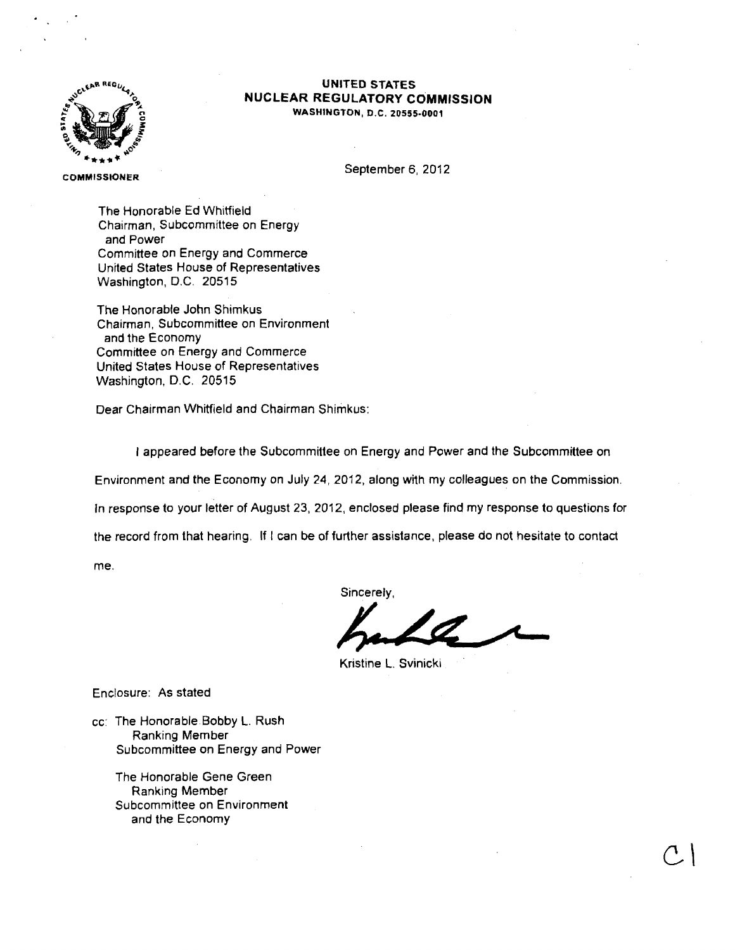

### **UNITED STATES NUCLEAR REGULATORY COMMISSION**  WASHINGTON, D.C. 20555·0001

COMMISSIONER

September 6, 2012

The Honorable Ed Whitfield Chairman, Subcommittee on Energy and Power Committee on Energy and Commerce United States House of Representatives Washington, D.C. 20515

The Honorable John Shimkus Chairman, Subcommittee on Environment and the Economy Committee on Energy and Commerce United States House of Representatives Washington, D.C. 20515

Dear Chairman Whitfield and Chairman Shimkus:

I appeared before the Subcommittee on Energy and Power and the Subcommittee on Environment and the Economy on July 24, 2012, along with my colleagues on the Commission. In response to your letter of August 23, 2012, enclosed please find my response to questions for

the record from that hearing. If l can be of further assistance, please do not hesitate to contact

me.

Sincerely,

 $C \mid$ 

Kristine L. Svinicki

Enclosure: As stated

cc: The Honorable.Bobby L. Rush Ranking Member Subcommittee on Energy and Power

The Honorable Gene Green Ranking Member Subcommittee on Environment and the Economy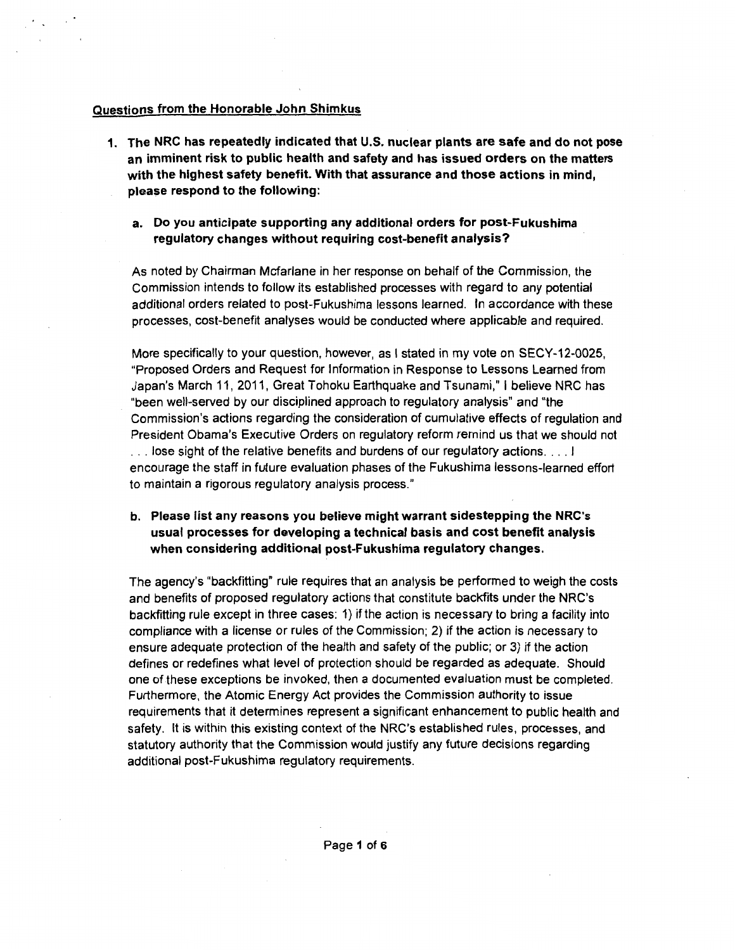### **Questions from the Honorable John Shimkus**

- **1. The NRC has repeatedly indicated that U.S. nuclear plants are safe and do not pose an imminent risk to public health and safety and has issued orders on the matters with the highest safety benefit. With that assurance and those actions in mind, please respond to the following:** 
	- **a. Do you anticipate supporting any additional orders for post-Fukushima regulatory changes without requiring cost-benefit analysis?**

As noted by Chairman Mcfarlane in her response on behalf of the Commission, the Commission intends to follow its established processes with regard to any potential additional orders related to post-Fukushima lessons learned. In accordance with these processes, cost-benefit analyses would be conducted where applicable and required.

More specifically to your question, however, as I stated in my vote on SECY-12-0025, "Proposed Orders and Request for Information in Response to Lessons Learned from Japan's March 11, 2011, Great Tohoku Earthquake and Tsunami," I believe NRC has "been well-served by our disciplined approach to regulatory analysis" and "the Commission's actions regarding the consideration of cumulative effects of regulation and President Obama's Executive Orders on regulatory reform remind us that we should not ... lose sight of the relative benefits and burdens of our regulatory actions....! encourage the staff in future evaluation phases of the Fukushima lessons-learned effort to maintain a rigorous regulatory analysis process."

**b. Please list any reasons you believe might warrant sidestepping the NRC's usual processes for developing a technical basis and cost benefit analysis when considering additional post-Fukushima regulatory changes.** 

The agency's "backfitting" rule requires that an analysis be performed to weigh the costs and benefits of proposed regulatory actions that constitute backfits under the NRC's backfitting rule except in three cases: 1) if the action is necessary to bring a facility into compliance with a license or rules of the Commission; 2) if the action is necessary to ensure adequate protection of the health and safety of the public; or 3) if the action defines or redefines what level of protection should be regarded as adequate. Should one of these exceptions be invoked, then a documented evaluation must be completed. Furthermore, the Atomic Energy Act provides the Commission authority to issue requirements that it determines represent a significant enhancement to public health and safety. It is within this existing context of the NRC's established rules, processes, and statutory authority that the Commission would justify any future decisions regarding additional post-Fukushima regulatory requirements.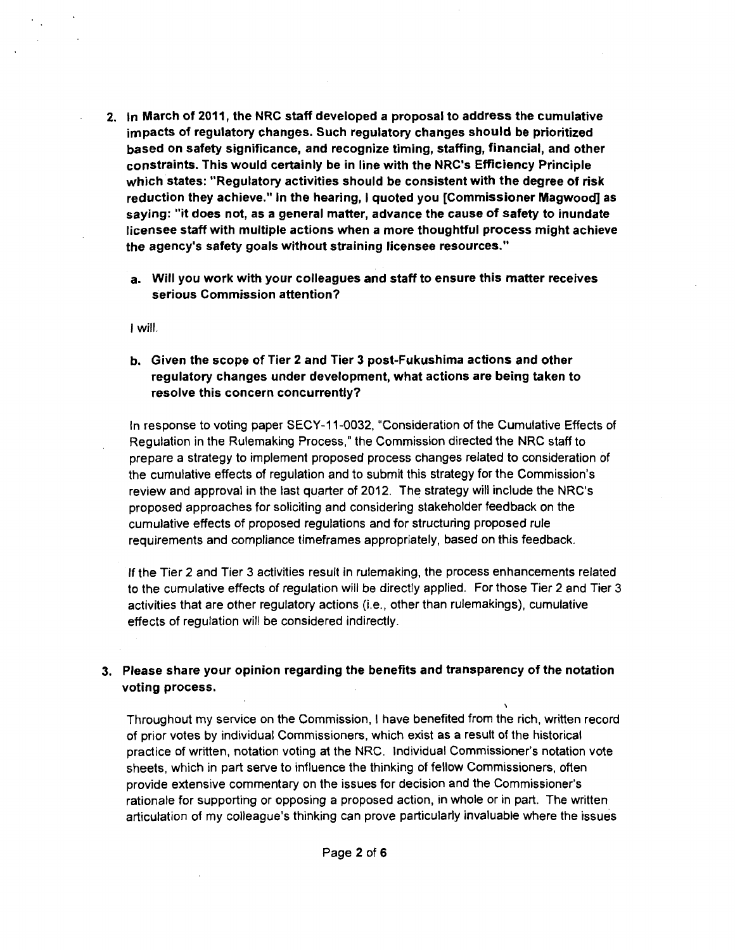- 2. In March of 2011, the NRC staff developed a proposal to address the cumulative impacts of regulatory changes. Such regulatory changes should be prioritized based on safety significance, and recognize timing, staffing, financial, and other constraints. This would certainly be in line with the NRC's Efficiency Principle which states: "Regulatory activities should be consistent with the degree of risk reduction they achieve." In the hearing, I quoted you [Commissioner Magwood] as saying: "it does not, as a general matter, advance the cause of safety to inundate licensee staff with multiple actions when a more thoughtful process might achieve the agency's safety goals without straining licensee resources."
	- a. Will you work with your colleagues and staff to ensure this matter receives serious Commission attention?

I will.

b. Given the scope of Tier 2 and Tier 3 post-Fukushima actions and other regulatory changes under development, what actions are being taken to resolve this concern concurrently?

In response to voting paper SECY-11-0032, "Consideration of the Cumulative Effects of Regulation in the Rulemaking Process," the Commission directed the NRC staff to prepare a strategy to implement proposed process changes related to consideration of the cumulative effects of regulation and to submit this strategy for the Commission's review and approval in the last quarter of 2012. The strategy will include the NRC's proposed approaches for soliciting and considering stakeholder feedback on the cumulative effects of proposed regulations and for structuring proposed rule requirements and compliance timeframes appropriately, based on this feedback.

If the Tier 2 and Tier 3 activities result in rulemaking, the process enhancements related to the cumulative effects of regulation will be directly applied. For those Tier 2 and Tier 3 activities that are other regulatory actions (i.e., other than rulemakings), cumulative effects of regulation will be considered indirectly.

## 3. Please share your opinion regarding the benefits and transparency of the notation voting process.

Throughout my service on the Commission, I have benefited from the rich, written record of prior votes by individual Commissioners, which exist as a result of the historical practice of written, notation voting at the NRC. Individual Commissioner's notation vote sheets, which in part serve to influence the thinking of fellow Commissioners, often provide extensive commentary on the issues for decision and the Commissioner's rationale for supporting or opposing a proposed action, in whole or in part. The written articulation of my colleague's thinking can prove particularly invaluable where the issues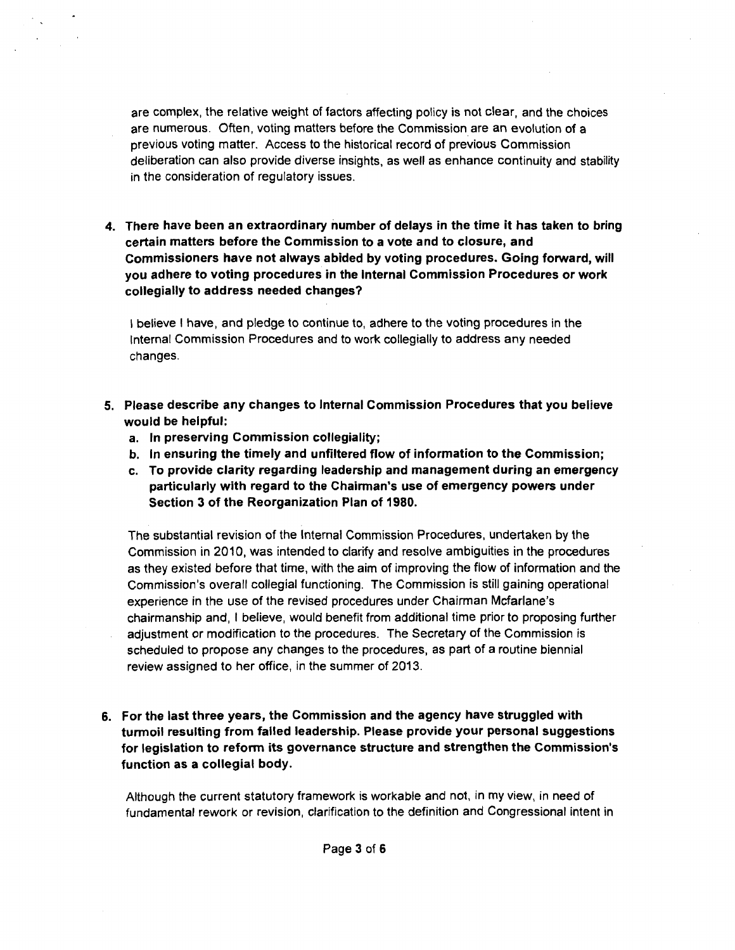are complex, the relative weight of factors affecting policy is not clear, and the choices are numerous. Often, voting matters before the Commission are an evolution of a previous voting matter. Access to the historical record of previous Commission deliberation can also provide diverse insights, as well as enhance continuity and stability in the consideration of regulatory issues.

4. There have been an extraordinary number of delays in the time it has taken to bring certain matters before the Commission to a vote and to closure, and Commissioners have not always abided by voting procedures. Going forward, will you adhere to voting procedures in the Internal Commission Procedures or work collegially to address needed changes?

I believe I have, and pledge to continue to, adhere to the voting procedures in the Internal Commission Procedures and to work collegially to address any needed changes.

- 5. Please describe any changes to Internal Commission Procedures that you believe would be helpful:
	- a. In preserving Commission collegiality;
	- b. In ensuring the timely and unfiltered flow of information to the Commission;
	- c. To provide clarity regarding leadership and management during an emergency particularly with regard to the Chairman's use of emergency powers under Section 3 of the Reorganization Plan of 1980.

The substantial revision of the Internal Commission Procedures, undertaken by the Commission in 2010, was intended to clarify and resolve ambiguities in the procedures as they existed before that time, with the aim of improving the flow of information and the Commission's overall collegial functioning. The Commission is still gaining operational experience in the use of the revised procedures under Chairman Mcfarlane's chairmanship and, I believe, would benefit from additional time prior to proposing further adjustment or modification to the procedures. The Secretary of the Commission is scheduled to propose any changes to the procedures, as part of a routine biennial review assigned to her office, in the summer of 2013.

6. For the last three years, the Commission and the agency have struggled with turmoil resulting from failed leadership. Please provide your personal suggestions for legislation to refonn its governance structure and strengthen the Commission's function as a collegial body.

Although the current statutory framework is workable and not, in my view, in need of fundamental rework or revision, clarification to the definition and Congressional intent in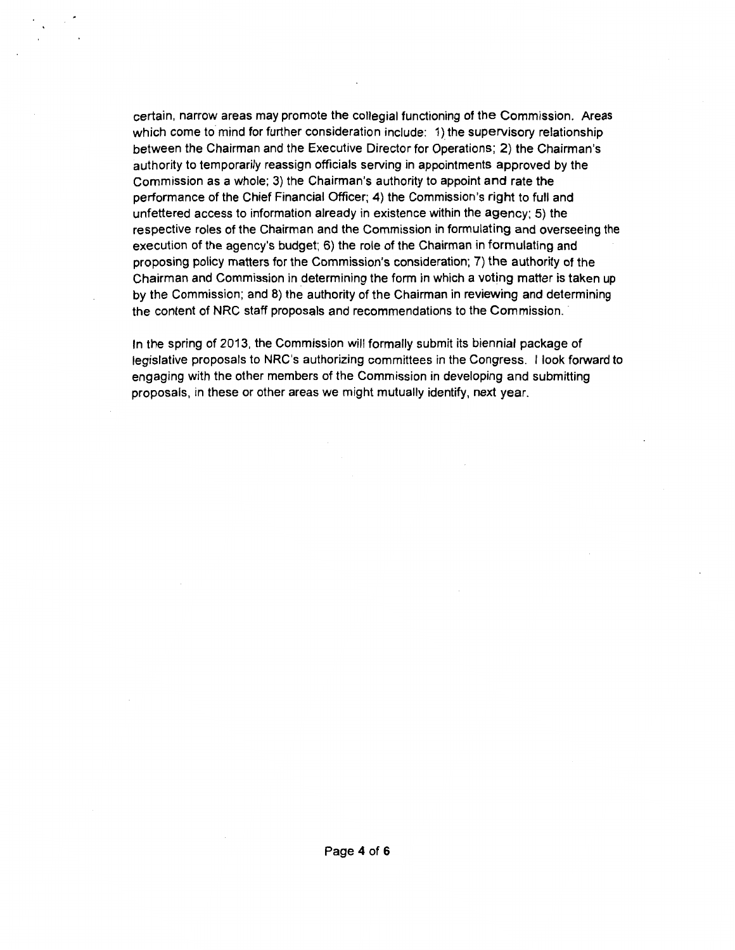certain, narrow areas may promote the collegial functioning of the Commission. Areas which come to mind for further consideration include: 1) the supervisory relationship between the Chairman and the Executive Director for Operations; 2) the Chairman's authority to temporarily reassign officials serving in appointments approved by the Commission as a whole; 3) the Chairman's authority to appoint and rate the performance of the Chief Financial Officer; 4) the Commission's right to full and unfettered access to information already in existence within the agency; 5) the respective roles of the Chairman and the Commission in formulating and overseeing the execution of the agency's budget; 6) the role of the Chairman in formulating and proposing policy matters for the Commission's consideration; 7) the authority of the Chairman and Commission in determining the form in which a voting matter is taken up by the Commission; and 8) the authority of the Chairman in reviewing and determining the content of NRC staff proposals and recommendations to the Commission.

In the spring of 2013, the Commission will formally submit its biennial package of legislative proposals to NRC's authorizing committees in the Congress. I look forward to engaging with the other members of the Commission in developing and submitting proposals, in these or other areas we might mutually identify, next year.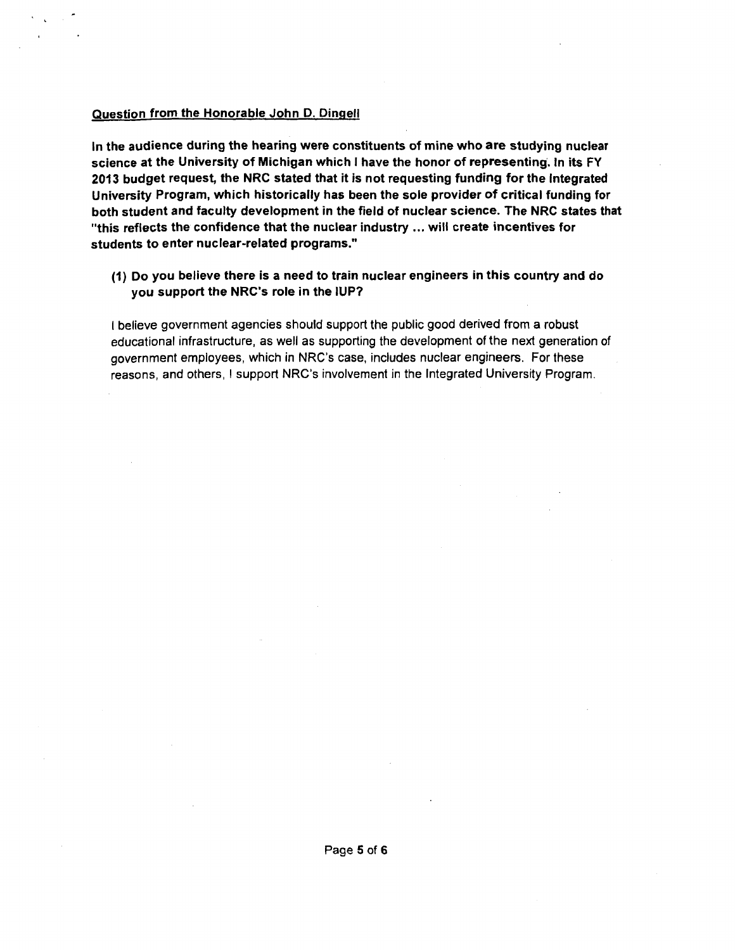### Question from the Honorable John D. Dingell

In the audience during the hearing were constituents of mine who are studying nuclear science at the University of Michigan which I have the honor of representing. In its FY 2013 budget request, the NRC stated that it is not requesting funding for the Integrated University Program, which historically has been the sole provider of critical funding for both student and faculty development in the field of nuclear science. The NRC states that "this reflects the confidence that the nuclear industry ... will create incentives for students to enter nuclear-related programs."

(1) Do you believe there is a need to train nuclear engineers in this country and do you support the NRC's role in the IUP?

I believe government agencies should support the public good derived from a robust educational infrastructure, as well as supporting the development of the next generation of government employees, which in NRC's case, includes nuclear engineers. For these reasons, and others, I support NRC's involvement in the Integrated University Program.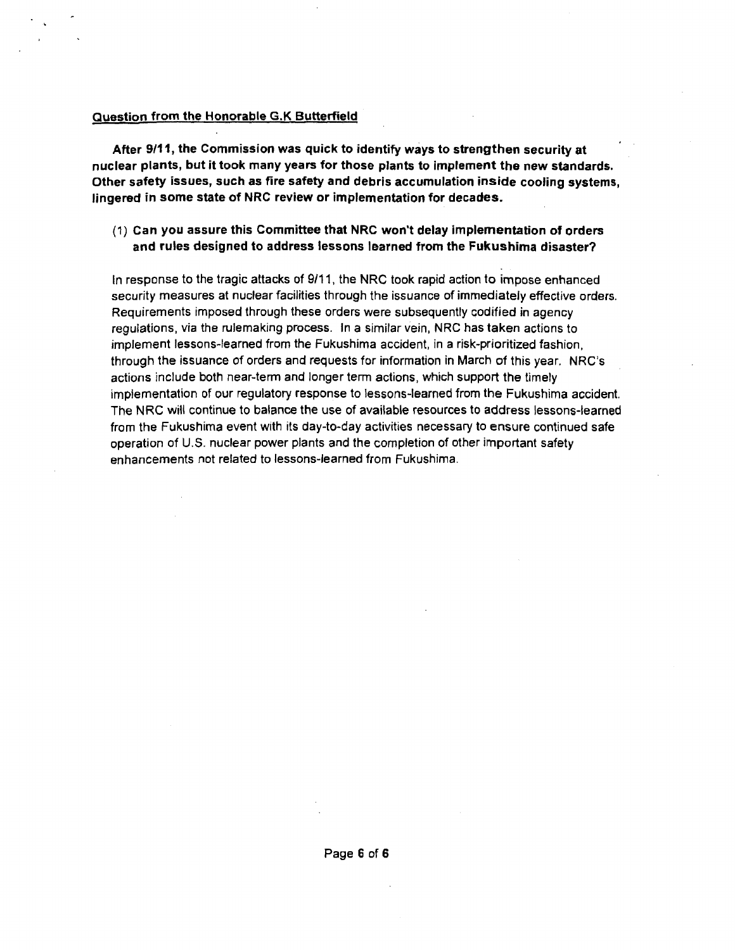### Question from the Honorable G.K Butterfield

After 9/11, the Commission was quick to identify ways to strengthen security at nuclear plants, but it took many years for those plants to implement the new standards. Other safety issues, such as fire safety and debris accumulation inside cooling systems, lingered in some state of NRC review or implementation for decades.

### (1) Can you assure this Committee that NRC won't delay implementation of orders and rules designed to address lessons learned from the Fukushima disaster?

In response to the tragic attacks of 9/11, the NRC took rapid action to impose enhanced security measures at nuclear facilities through the issuance of immediately effective orders. Requirements imposed through these orders were subsequently codified in agency regulations, via the rulemaking process. In a similar vein, NRC has taken actions to implement lessons-learned from the Fukushima accident, in a risk-prioritized fashion, through the issuance of orders and requests for information in March of this year. NRC's actions include both near-term and longer term actions, which support the timely implementation of our regulatory response to lessons-learned from the Fukushima accident. The NRC will continue to balance the use of available resources to address lessons-learned from the Fukushima event with its day-to-day activities necessary to ensure continued safe operation of U.S. nuclear power plants and the completion of other important safety enhancements not related to lessons-learned from Fukushima.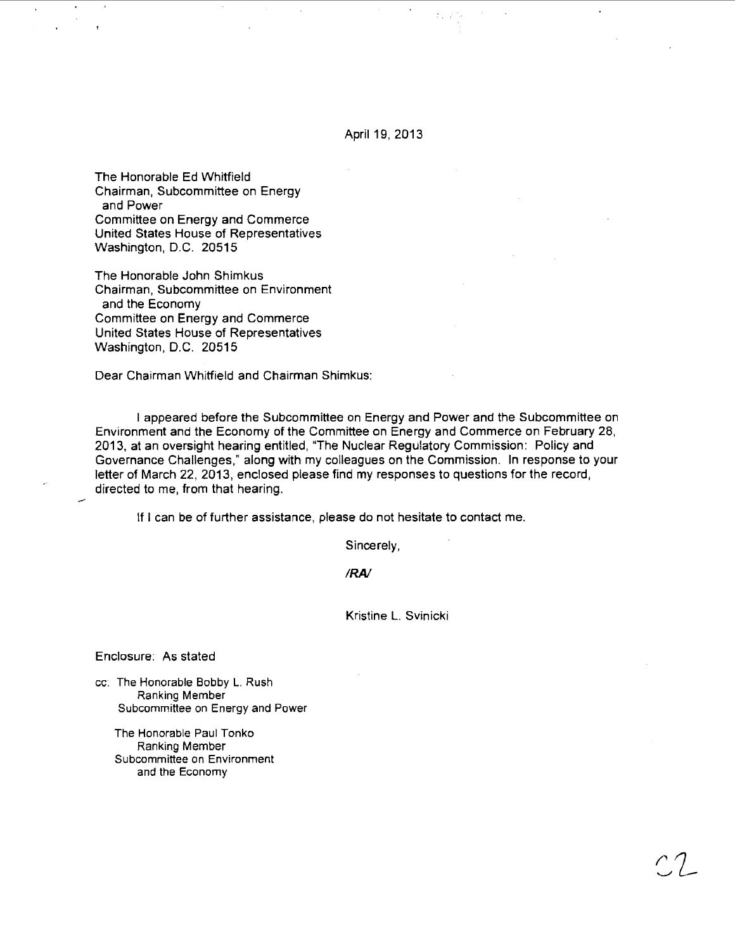April 19, 2013

The Honorable Ed Whitfield Chairman, Subcommittee on Energy and Power Committee on Energy and Commerce United States House of Representatives Washington, D.C. 20515

The Honorable John Shimkus Chairman, Subcommittee on Environment and the Economy Committee on Energy and Commerce United States House of Representatives Washington, D.C. 20515

Dear Chairman Whitfield and Chairman Shimkus:

I appeared before the Subcommittee on Energy and Power and the Subcommittee on Environment and the Economy of the Committee on Energy and Commerce on February 28, 2013, at an oversight hearing entitled, "The Nuclear Regulatory Commission: Policy and Governance Challenges," along with my colleagues on the Commission. In response to your letter of March 22, 2013, enclosed please find my responses to questions for the record, directed to me, from that hearing.

If I can be of further assistance, please do not hesitate to contact me.

Sincerely,

*IRA/* 

Kristine L. Svinicki

Enclosure: As stated

cc: The Honorable Bobby L. Rush Ranking Member Subcommittee on Energy and Power

The Honorable Paul Tonko Ranking Member Subcommittee on Environment and the Economy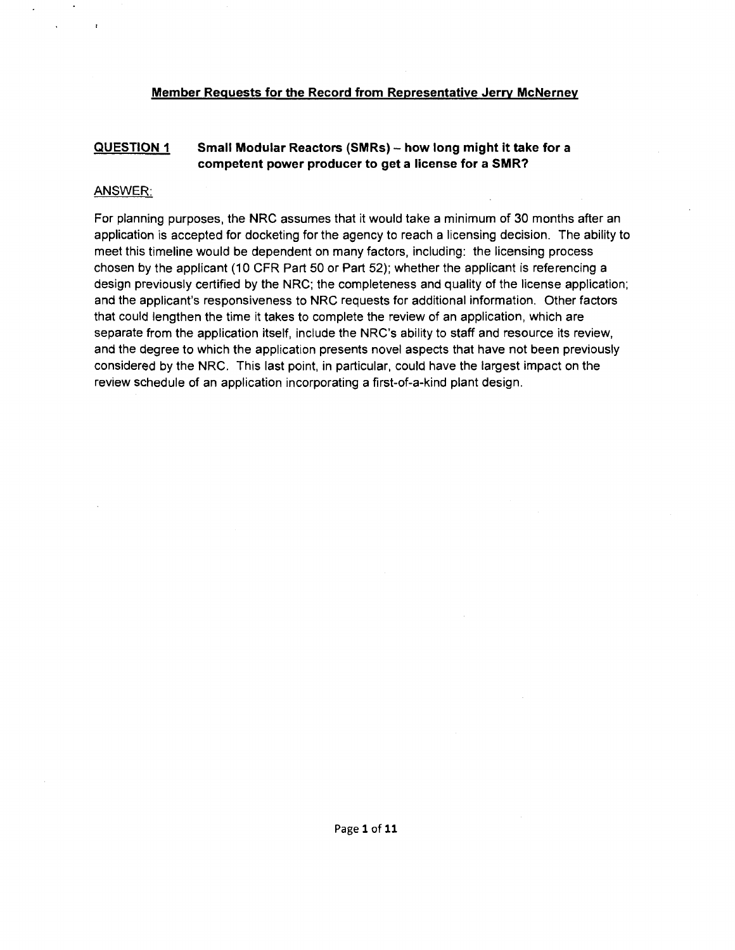### **Member Requests for the Record from Representative Jerry McNerney**

#### **QUESTION 1 Small Modular Reactors (SMRs) - how long might it take for a competent power producer to get a license for a SMR?**

### ANSWER:

 $\mathbf{r}$ 

For planning purposes, the NRC assumes that it would take a minimum of 30 months after an application is accepted for docketing for the agency to reach a licensing decision. The ability to meet this timeline would be dependent on many factors, including: the licensing process chosen by the applicant (10 CFR Part 50 or Part 52); whether the applicant is referencing a design previously certified by the NRC; the completeness and quality of the license application; and the applicant's responsiveness to NRC requests for additional information. Other factors that could lengthen the time it takes to complete the review of an application, which are separate from the application itself, include the NRC's ability to staff and resource its review, and the degree to which the application presents novel aspects that have not been previously considered by the NRC. This last point, in particular, could have the largest impact on the review schedule of an application incorporating a first-of-a-kind plant design.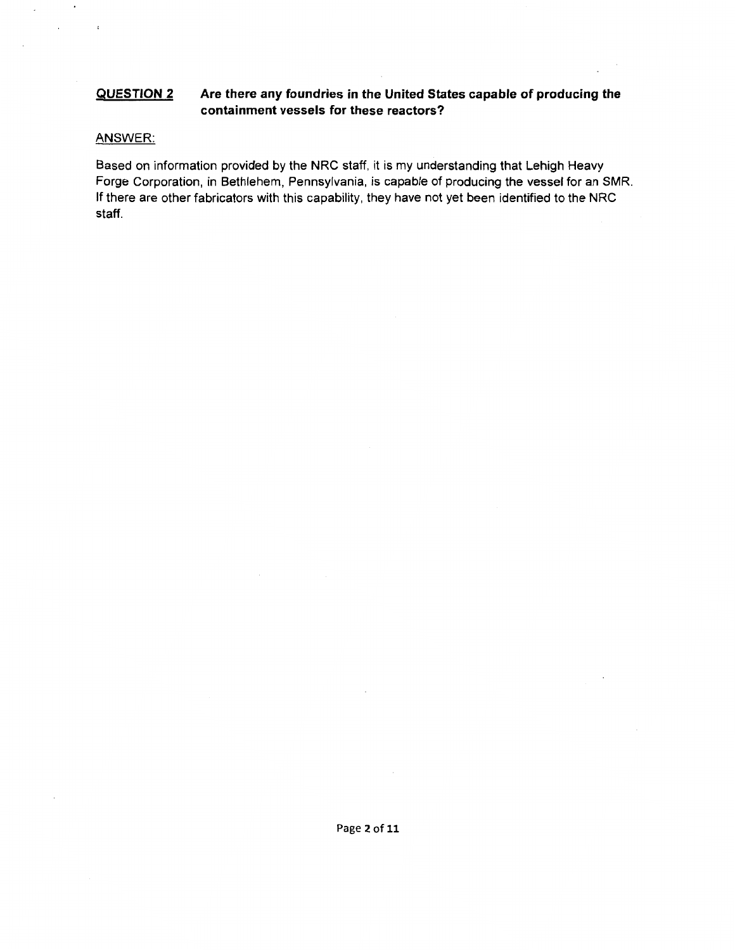#### **QUESTION 2 Are there any foundries in the United States capable of producing the containment vessels for these reactors?**

### ANSWER:

 $\blacksquare$ 

 $\mathbf{r}$ 

 $\sim$ 

 $\mathcal{L}^{\text{max}}$ 

Based on information provided by the NRC staff, it is my understanding that Lehigh Heavy Forge Corporation, in Bethlehem, Pennsylvania, is capable of producing the vessel for an SMR. If there are other fabricators with this capability, they have not yet been identified to the NRC staff.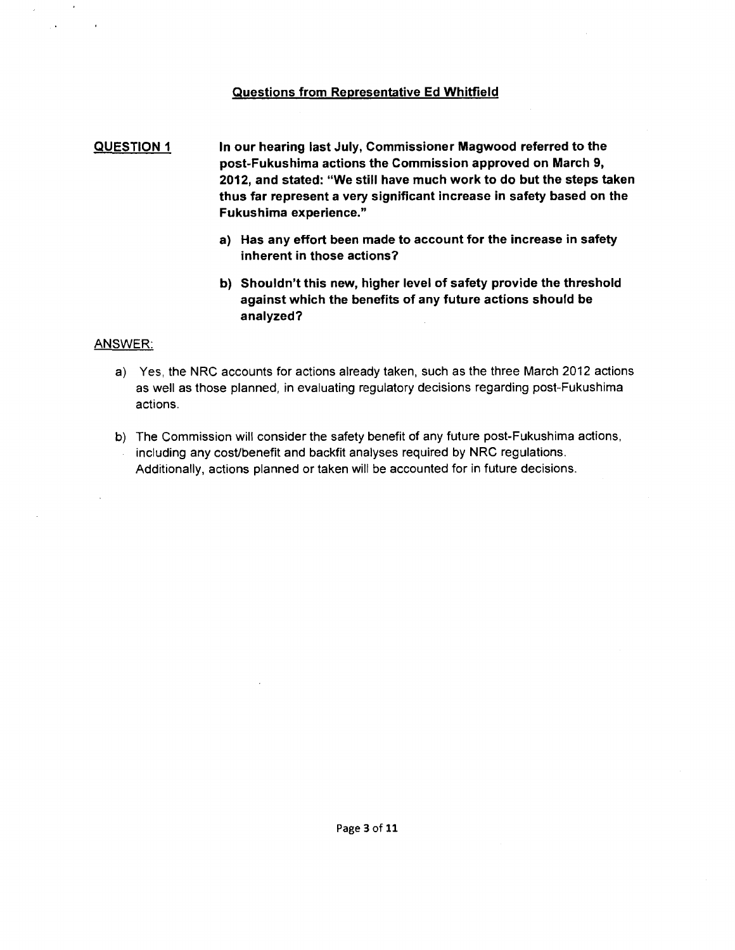### Questions from Representative Ed Whitfield

### QUESTION 1 In our hearing last July, Commissioner Magwood referred to the post-Fukushima actions the Commission approved on March 9, 2012, and stated: "We still have much work to do but the steps taken thus far represent a very significant increase in safety based on the Fukushima experience."

- a) Has any effort been made to account for the increase in safety inherent in those actions?
- b) Shouldn't this new, higher level of safety provide the threshold against which the benefits of any future actions should be analyzed?

### ANSWER:

- a) Yes, the NRC accounts for actions already taken, such as the three March 2012 actions as well as those planned, in evaluating regulatory decisions regarding post-Fukushima actions.
- b) The Commission will consider the safety benefit of any future post-Fukushima actions, including any cost/benefit and backfit analyses required by NRC regulations. Additionally, actions planned or taken will be accounted for in future decisions.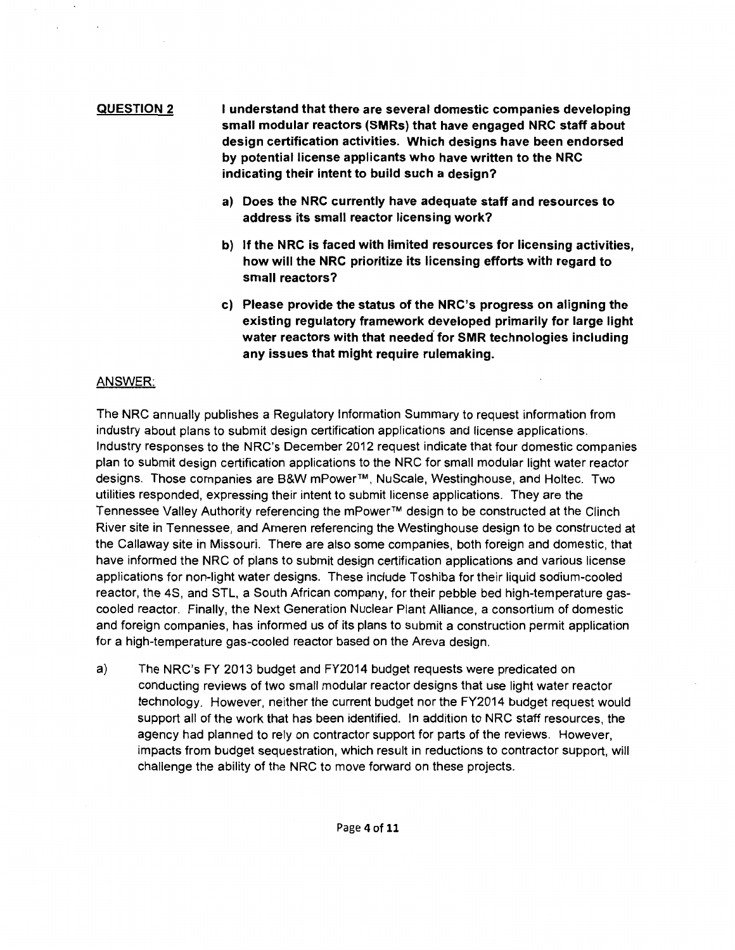### **QUESTION 2**  I **understand that there are several domestic companies developing small modular reactors (SMRs) that have engaged NRC staff about design certification activities. Which designs have been endorsed by potential license applicants who have written to the NRC indicating their intent to build such a design?**

- **a) Does the NRC currently have adequate staff and resources to address its small reactor licensing work?**
- **b) If the NRC is faced with limited resources for licensing activities, how will the NRC prioritize its licensing efforts with regard to small reactors?**
- **c) Please provide the status of the NRC's progress on aligning the existing regulatory framework developed primarily for large light**  water reactors with that needed for SMR technologies including **any issues that might require rulemaking.**

### ANSWER:

The NRC annually publishes a Regulatory Information Summary to request information from industry about plans to submit design certification applications and license applications. Industry responses to the NRC's December 2012 request indicate that four domestic companies plan to submit design certification applications to the NRC for small modular light water reactor designs. Those companies are B&W mPower™, Nu Scale, Westinghouse, and Holtec. Two utilities responded, expressing their intent to submit license applications. They are the Tennessee Valley Authority referencing the mPower™ design to be constructed at the Clinch River site in Tennessee, and Ameren referencing the Westinghouse design to be constructed at the Callaway site in Missouri. There are also some companies, both foreign and domestic, that have informed the NRC of plans to submit design certification applications and various license applications for non-light water designs. These include Toshiba for their liquid sodium-cooled reactor, the 48, and STL, a South African company, for their pebble bed high-temperature gascooled reactor. Finally, the Next Generation Nuclear Plant Alliance, a consortium of domestic and foreign companies, has informed us of its plans to submit a construction permit application for a high-temperature gas-cooled reactor based on the Areva design.

a) The NRC's FY 2013 budget and FY2014 budget requests were predicated on conducting reviews of two small modular reactor designs that use light water reactor technology. However, neither the current budget nor the FY2014 budget request would support all of the work that has been identified. In addition to NRC staff resources, the agency had planned to rely on contractor support for parts of the reviews. However, impacts from budget sequestration, which result in reductions to contractor support, will challenge the ability of the NRC to move forward on these projects.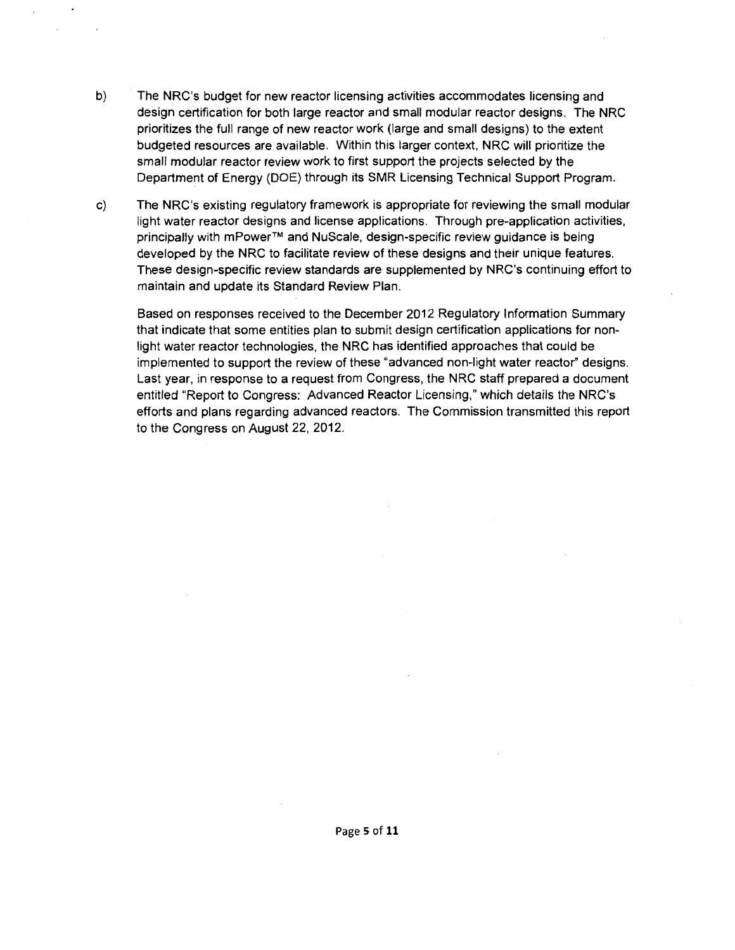- b) The NRC's budget for new reactor licensing activities accommodates licensing and design certification for both large reactor and small modular reactor designs. The NRC prioritizes the full range of new reactor work (large and small designs) to the extent budgeted resources are available. Within this larger context, NRC will prioritize the small modular reactor review work to first support the projects selected by the Department of Energy (DOE) through its SMR Licensing Technical Support Program.
- c) The NRC's existing regulatory framework is appropriate for reviewing the small modular light water reactor designs and license applications. Through pre-application activities, principally with mPower™ and NuScale, design-specific review guidance is being developed by the NRC to facilitate review of these designs and their unique features. These design-specific review standards are supplemented by NRC's continuing effort to maintain and update its Standard Review Plan.

Based on responses received to the December 2012 Regulatory Information Summary that indicate that some entities plan to submit design certification applications for nonlight water reactor technologies, the NRC has identified approaches that could be implemented to support the review of these "advanced non-light water reactor" designs. Last year, in response to a request from Congress, the NRC staff prepared a document entitled "Report to Congress: Advanced Reactor Licensing," which details the NRC's efforts and plans regarding advanced reactors. The Commission transmitted this report to the Congress on August 22, 2012.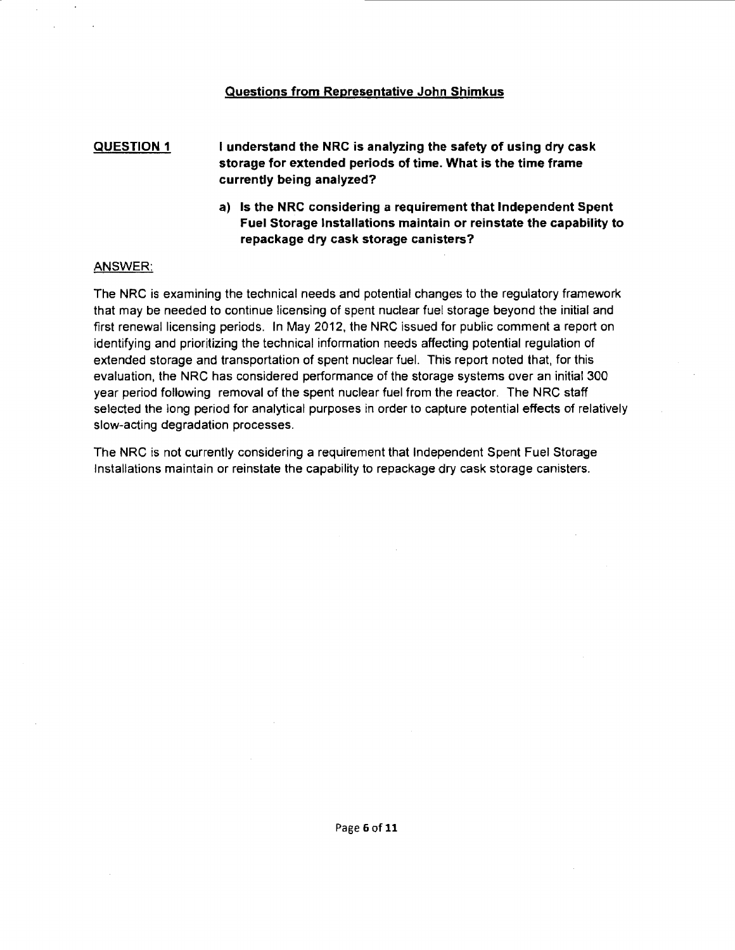### Questions from Representative John Shimkus

QUESTION 1 I understand the NRC is analyzing the safety of using dry cask storage for extended periods of time. What is the time frame currently being analyzed?

> a) Is the NRC considering a requirement that Independent Spent Fuel Storage Installations maintain or reinstate the capability to repackage dry cask storage canisters?

### ANSWER:

The NRC is examining the technical needs and potential changes to the regulatory framework that may be needed to continue licensing of spent nuclear fuel storage beyond the initial and first renewal licensing periods. In May 2012, the NRC issued for public comment a report on identifying and prioritizing the technical information needs affecting potential regulation of extended storage and transportation of spent nuclear fuel. This report noted that, for this evaluation, the NRC has considered performance of the storage systems over an initial 300 year period following removal of the spent nuclear fuel from the reactor. The NRC staff selected the long period for analytical purposes in order to capture potential effects of relatively slow-acting degradation processes.

The NRC is not currently considering a requirement that Independent Spent Fuel Storage Installations maintain or reinstate the capability to repackage dry cask storage canisters.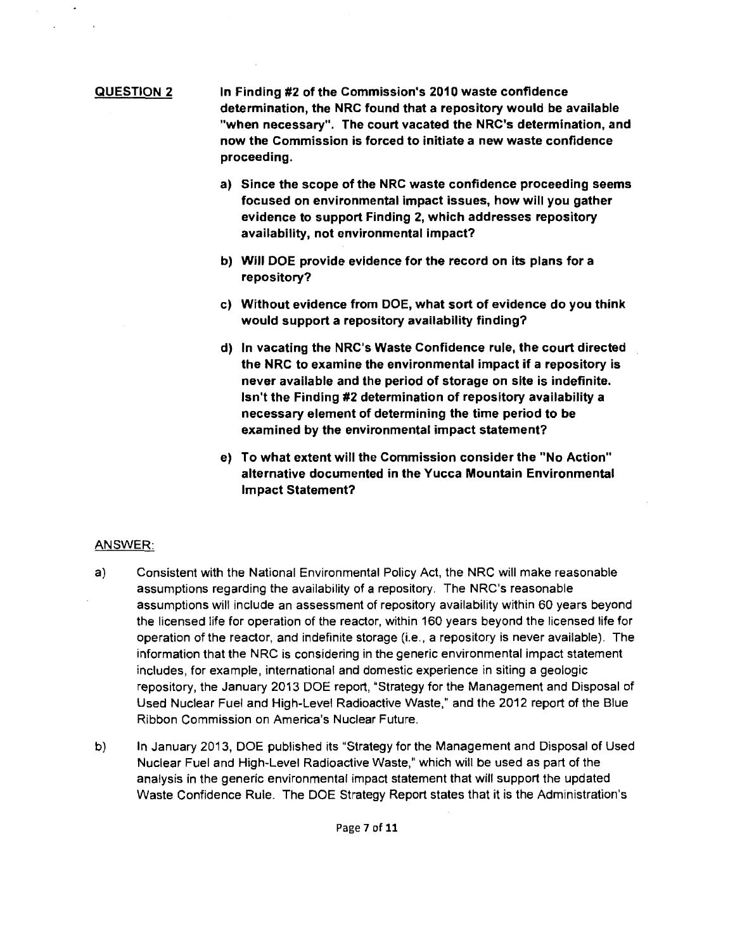### QUESTION 2 In Finding #2 of the Commission's 2010 waste confidence determination, the NRC found that a repository would be available "when necessary". The court vacated the NRC's determination, and now the Commission is forced to initiate a new waste confidence proceeding.

- a) Since the scope of the NRC waste confidence proceeding seems focused on environmental impact issues, how will you gather evidence to support Finding 2, which addresses repository availability, not environmental impact?
- b) Will DOE provide evidence for the record on its plans for a repository?
- c) Without evidence from DOE, what sort of evidence do you think would support a repository availability finding?
- d) In vacating the NRC's Waste Confidence rule, the court directed the NRC to examine the environmental impact if a repository is never available and the period of storage on site is indefinite. Isn't the Finding #2 determination of repository availability a necessary element of determining the time period to be examined by the environmental impact statement?
- e) To what extent will the Commission consider the "No Action" alternative documented in the Yucca Mountain Environmental Impact Statement?

### ANSWER:

- a) Consistent with the National Environmental Policy Act, the NRC will make reasonable assumptions regarding the availability of a repository. The NRC's reasonable assumptions will include an assessment of repository availability within 60 years beyond the licensed life for operation of the reactor, within 160 years beyond the licensed life for operation of the reactor, and indefinite storage (i.e., a repository is never available). The information that the NRC is considering in the generic environmental impact statement includes, for example, international and domestic experience in siting a geologic repository, the January 2013 DOE report, "Strategy for the Management and Disposal of Used Nuclear Fuel and High-Level Radioactive Waste," and the 2012 report of the Blue Ribbon Commission on America's Nuclear Future.
- b) In January 2013, DOE published its ''Strategy for the Management and Disposal of Used Nuclear Fuel and High-Level Radioactive Waste," which will be used as part of the analysis in the generic environmental impact statement that will support the updated Waste Confidence Rule. The DOE Strategy Report states that it is the Administration's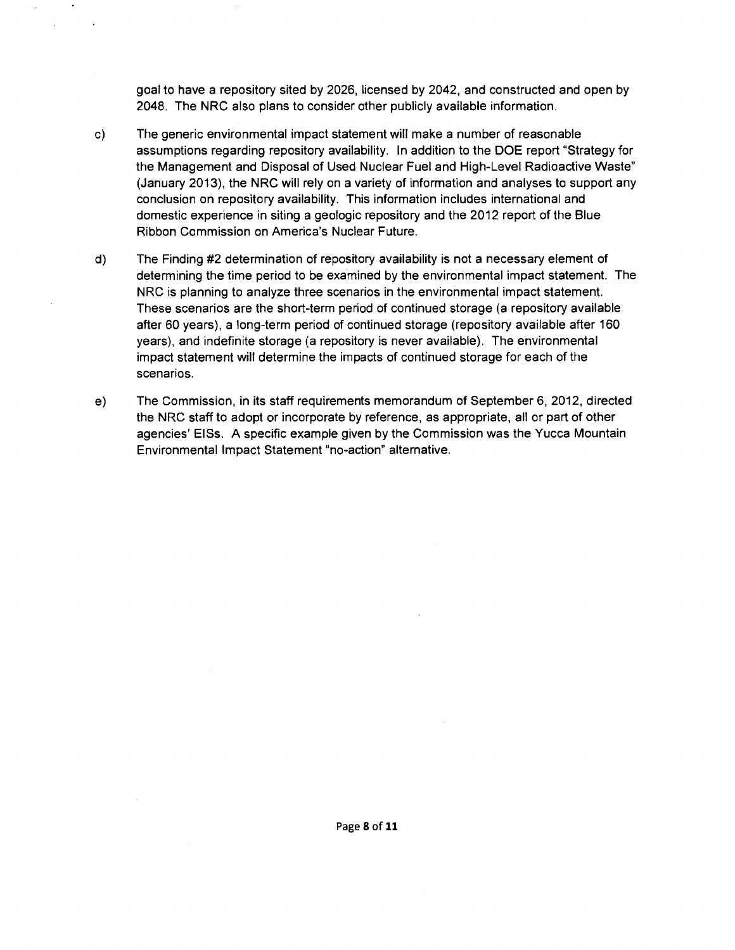goal to have a repository sited by 2026, licensed by 2042, and constructed and open by 2048. The NRC also plans to consider other publicly available information.

- c) The generic environmental impact statement will make a number of reasonable assumptions regarding repository availability. In addition to the DOE report "Strategy for the Management and Disposal of Used Nuclear Fuel and High-Level Radioactive Waste" (January 2013), the NRC will rely on a variety of information and analyses to support any conclusion on repository availability. This information includes international and domestic experience in siting a geologic repository and the 2012 report of the Blue Ribbon Commission on America's Nuclear Future.
- d) The Finding #2 determination of repository availability is not a necessary element of determining the time period to be examined by the environmental impact statement. The NRC is planning to analyze three scenarios in the environmental impact statement. These scenarios are the short-term period of continued storage (a repository available after 60 years), a long-term period of continued storage (repository available after 160 years), and indefinite storage (a repository is never available). The environmental impact statement will determine the impacts of continued storage for each of the scenarios.
- e) The Commission, in its staff requirements memorandum of September 6, 2012, directed the NRC staff to adopt or incorporate by reference, as appropriate, all or part of other agencies' EISs. A specific example given by the Commission was the Yucca Mountain Environmental Impact Statement "no-action" alternative.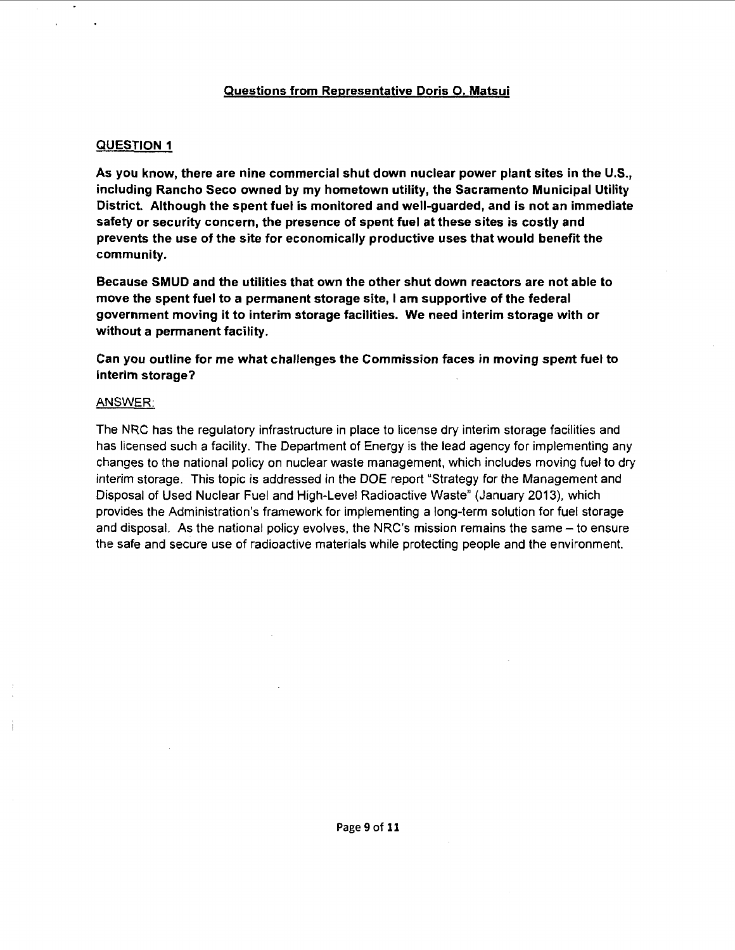### Questions from Representative Doris 0. Matsui

### QUESTION 1

As you know, there are nine commercial shut down nuclear power plant sites in the U.S., including Rancho Seco owned by my hometown utility, the Sacramento Municipal Utility District. Although the spent fuel is monitored and well-guarded, and is not an immediate safety or security concern, the presence of spent fuel at these sites is costly and prevents the use of the site for economically productive uses that would benefit the community.

Because SMUD and the utilities that own the other shut down reactors are not able to move the spent fuel to a permanent storage site, I am supportive of the federal government moving it to interim storage facilities. We need interim storage with or without a permanent facility.

Can you outline for me what challenges the Commission faces in moving spent fuel to interim storage?

### ANSWER:

The NRC has the regulatory infrastructure in place to license dry interim storage facilities and has licensed such a facility. The Department of Energy is the lead agency for implementing any changes to the national policy on nuclear waste management, which includes moving fuel to dry interim storage. This topic is addressed in the DOE report "Strategy for the Management and Disposal of Used Nuclear Fuel and High-Level Radioactive Waste" (January 2013), which provides the Administration's framework for implementing a long-term solution for fuel storage and disposal. As the national policy evolves, the NRC's mission remains the same - to ensure the safe and secure use of radioactive materials while protecting people and the environment.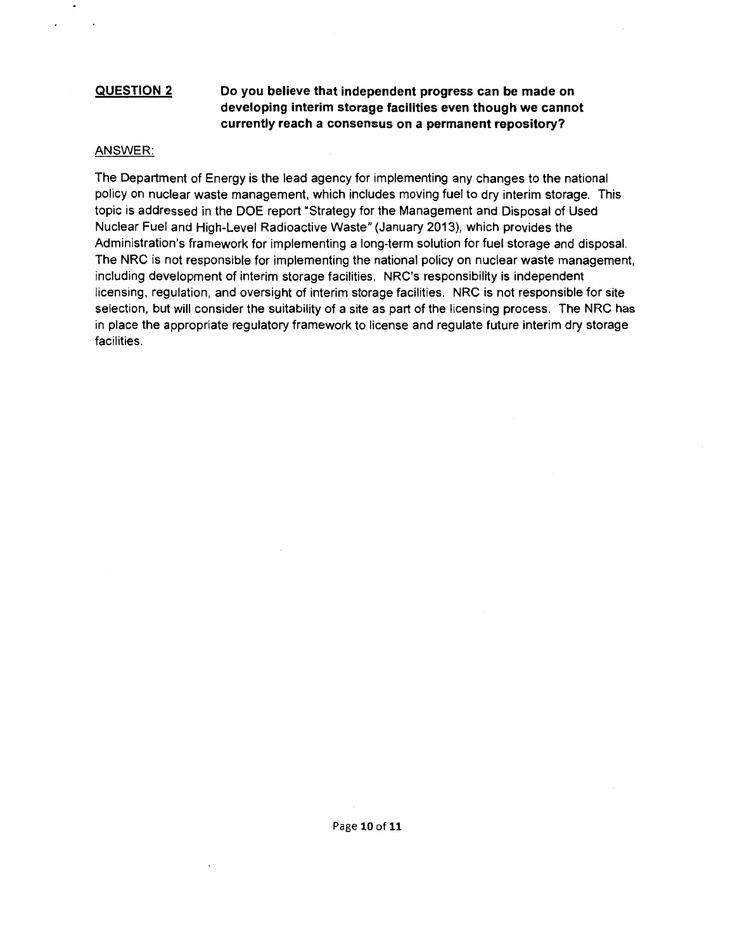### **QUESTION 2**

### **Do you believe that independent progress can be made on developing interim storage facilities even though we cannot currently reach a consensus on a permanent repository?**

### ANSWER:

The Department of Energy is the lead agency for implementing any changes to the national policy on nuclear waste management, which includes moving fuel to dry interim storage. This topic is addressed in the DOE report "Strategy for the Management and Disposal of Used Nuclear Fuel and High-Level Radioactive Waste" (January 2013), which provides the Administration's framework for implementing a long-term solution for fuel storage and disposal. The NRC is not responsible for implementing the national policy on nuclear waste management, including development of interim storage facilities. NRC's responsibility is independent licensing, regulation, and oversight of interim storage facilities. NRC is not responsible for site selection, but will consider the suitability of a site as part of the licensing process. The NRC has in place the appropriate regulatory framework to license and regulate future interim dry storage facilities.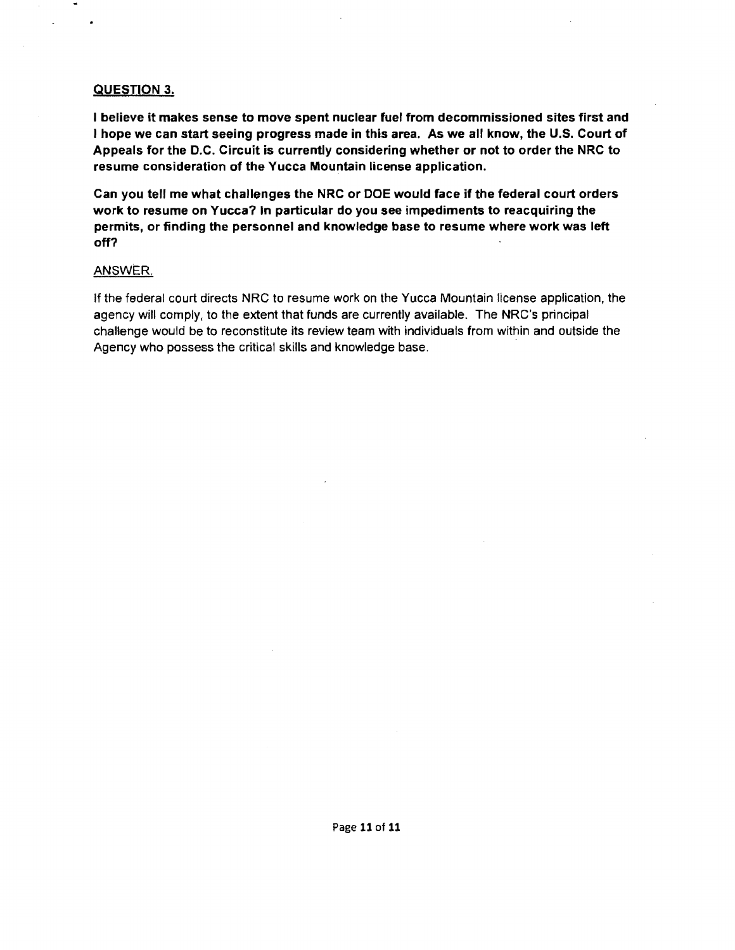### QUESTION 3.

I believe it makes sense to move spent nuclear fuel from decommissioned sites first and I hope we can start seeing progress made in this area. As we all know, the U.S. Court of Appeals for the D.C. Circuit is currently considering whether or not to order the NRC to resume consideration of the Yucca Mountain license application.

Can you tell me what challenges the NRC or DOE would face if the federal court orders work to resume on Yucca? In particular do you see impediments to reacquiring the permits, or finding the personnel and knowledge base to resume where work was left off?

### ANSWER

If the federal court directs NRC to resume work on the Yucca Mountain license application, the agency will comply, to the extent that funds are currently available. The NRC's principal challenge would be to reconstitute its review team with individuals from within and outside the Agency who possess the critical skills and knowledge base.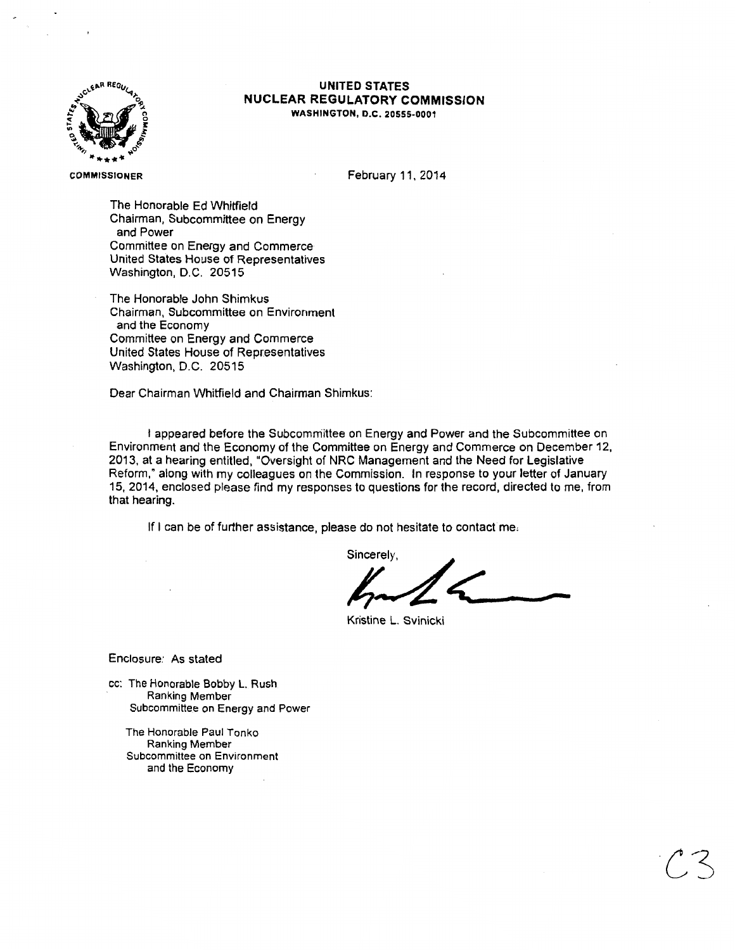

### **UNITED STATES NUCLEAR REGULATORY COMMISSION**  WASHINGTON, D.C. 20555-0001

#### COMMISSIONER

February 11. 2014

The Honorable Ed Whitfield Chairman, Subcommittee on Energy and Power Committee on Energy and Commerce United States House of Representatives Washington, D.C. 20515

The Honorable John Shimkus Chairman, Subcommittee on Environment and the Economy Committee on Energy and Commerce United States House of Representatives Washington, D.C. 20515

Dear Chairman Whitfield and Chairman Shimkus:

I appeared before the Subcommittee on Energy and Power and the Subcommittee on Environment and the Economy of the Committee on Energy and Commerce on December 12, 2013, at a hearing entitled, "Oversight of NRC Management and the Need for Legislative Reform," along with my colleagues on the Commission. In response to your letter of January 15, 2014, enclosed please find my responses to questions for the record, directed to me, from that hearing.

If I can be of further assistance, please do not hesitate to contact me,

Sincerely.

**a** 

Kristine L. Svinicki

Enclosure: As stated

cc: The Honorable Bobby L. Rush Ranking Member Subcommittee on Energy and Power

The Honorable Paul Tonko Ranking Member Subcommittee on Environment and the Economy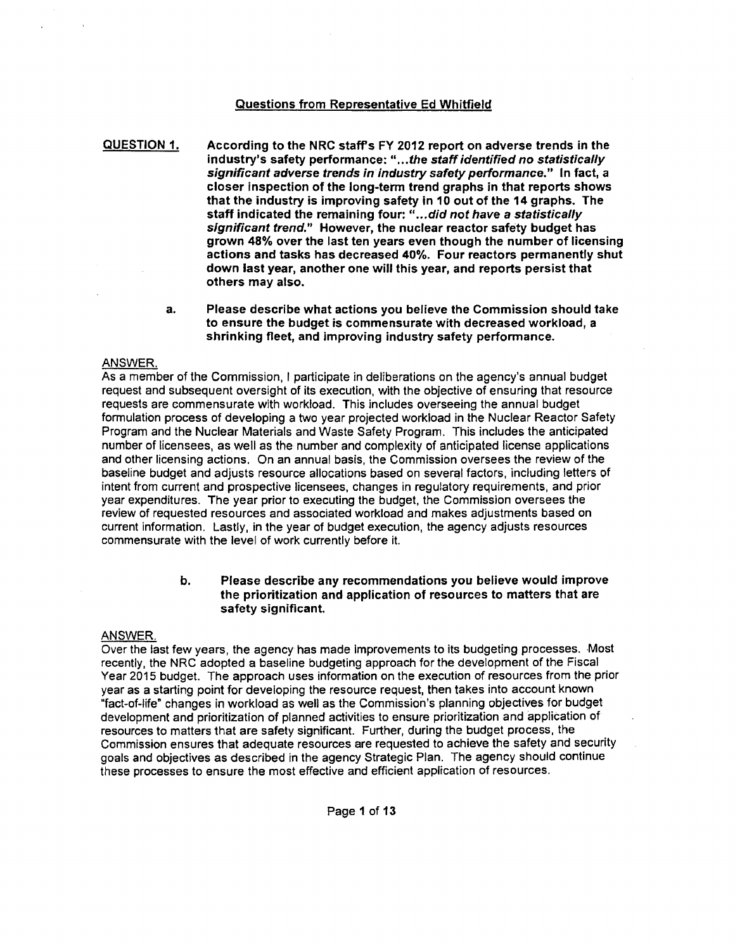### Questions from Representative Ed Whitfield

QUESTION 1. According to the NRC staff's FY 2012 report on adverse trends in the industry's safety performance: " ... the staff identified no statistically significant adverse trends in industry safety performance." In fact, a closer inspection of the long-term trend graphs in that reports shows that the industry is improving safety in 10 out of the 14 graphs. The staff indicated the remaining four: "... did not have a statistically significant trend." However, the nuclear reactor safety budget has grown 48% over the last ten years even though the number of licensing actions and tasks has decreased 40%. Four reactors permanently shut down last year, another one will this year, and reports persist that others may also.

> a. Please describe what actions you believe the Commission should take to ensure the budget is commensurate with decreased workload, a shrinking fleet, and improving industry safety performance.

### ANSWER.

As a member of the Commission, I participate in deliberations on the agency's annual budget request and subsequent oversight of its execution, with the objective of ensuring that resource requests are commensurate with workload. This includes overseeing the annual budget formulation process of developing a two year projected workload in the Nuclear Reactor Safety Program and the Nuclear Materials and Waste Safety Program. This includes the anticipated number of licensees, as well as the number and complexity of anticipated license applications and other licensing actions. On an annual basis, the Commission oversees the review of the baseline budget and adjusts resource allocations based on several factors, including letters of intent from current and prospective licensees, changes in regulatory requirements, and prior year expenditures. The year prior to executing the budget, the Commission oversees the review of requested resources and associated workload and makes adjustments based on current information. Lastly, in the year of budget execution, the agency adjusts resources commensurate with the level of work currently before it.

### b. Please describe any recommendations you believe would improve the prioritization and application of resources to matters that are safety significant

### ANSWER.

Over the last few years, the agency has made improvements to its budgeting processes. Most recently, the NRC adopted a baseline budgeting approach for the development of the Fiscal Year 2015 budget. The approach uses information on the execution of resources from the prior year as a starting point for developing the resource request, then takes into account known "fact-of-life" changes in workload as well as the Commission's planning objectives for budget development and prioritization of planned activities to ensure prioritization and application of resources to matters that are safety significant. Further, during the budget process, the Commission ensures that adequate resources are requested to achieve the safety and security goals and objectives as described in the agency Strategic Plan. The agency should continue these processes to ensure the most effective and efficient application of resources.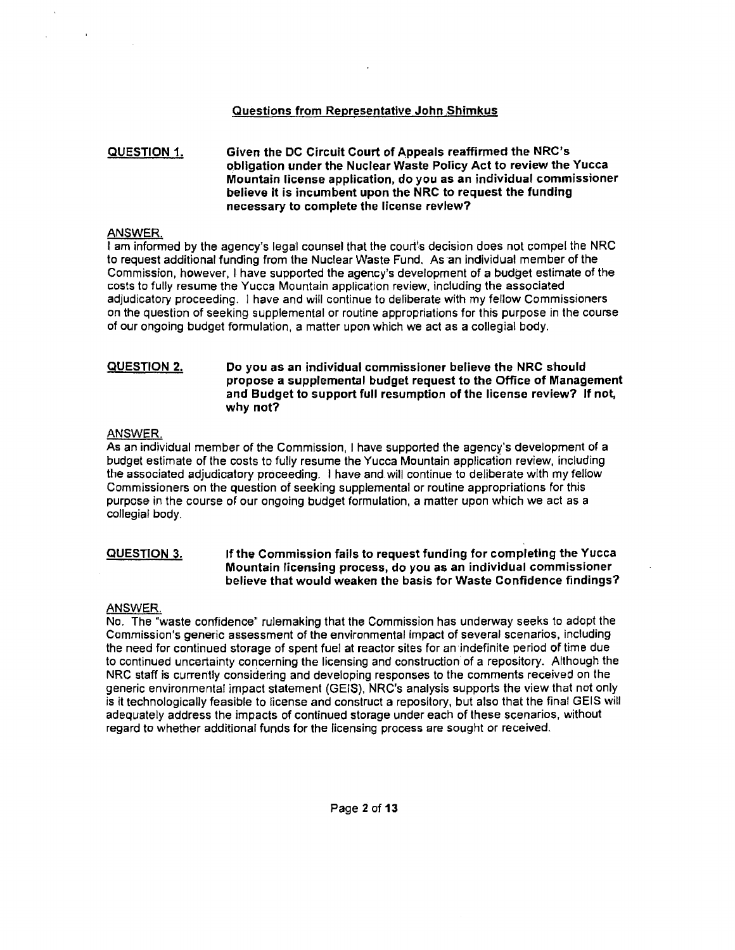### Questions from Representative John Shimkus

#### QUESTION 1. Given the DC Circuit Court of Appeals reaffirmed the NRC's obligation under the Nuclear Waste Policy Act to review the Yucca Mountain license application, do you as an individual commissioner believe It is incumbent upon the NRC to request the funding necessary to complete the license review?

### ANSWER.

I am informed by the agency's legal counsel that the court's decision does not compel the NRC to request additional funding from the Nuclear Waste Fund. As an individual member of the Commission, however, I have supported the agency's development of a budget estimate of the costs to fully resume the Yucca Mountain application review, including the associated adjudicatory proceeding. I have and will continue to deliberate with my fellow Commissioners on the question of seeking supplemental or routine appropriations for this purpose in the course of our ongoing budget formulation, a matter upon which we act as a collegial body.

#### QUESTION 2. Do you as an individual commissioner believe the NRC should propose a supplemental budget request to the Office of Management and Budget to support full resumption of the license review? If not, why not?

### ANSWER

As an individual member of the Commission, I have supported the agency's development of a budget estimate of the costs to fully resume the Yucca Mountain application review, including the associated adjudicatory proceeding. I have and will continue to deliberate with my fellow Commissioners on the question of seeking supplemental or routine appropriations for this purpose in the course of our ongoing budget formulation, a matter upon which we act as a collegial body.

#### QUESTION 3. If the Commission fails to request funding for completing the Yucca Mountain licensing process, do you as an indiVidual commissioner believe that would weaken the basis for Waste Confidence findings?

### ANSWER

No. The "waste confidence" rulemaking that the Commission has underway seeks to adopt the Commission's generic assessment of the environmental impact of several scenarios, including the need for continued storage of spent fuel at reactor sites for an indefinite period of time due to continued uncertainty concerning the licensing and construction of a repository. Although the NRC staff is currently considering and developing responses to the comments received on the generic environmental impact statement (GEIS), NRC's analysis supports the view that not only is it technologically feasible to license and construct a repository, but also that the final GEIS will adequately address the impacts of continued storage under each of these scenarios, without regard to whether additional funds for the licensing process are sought or received.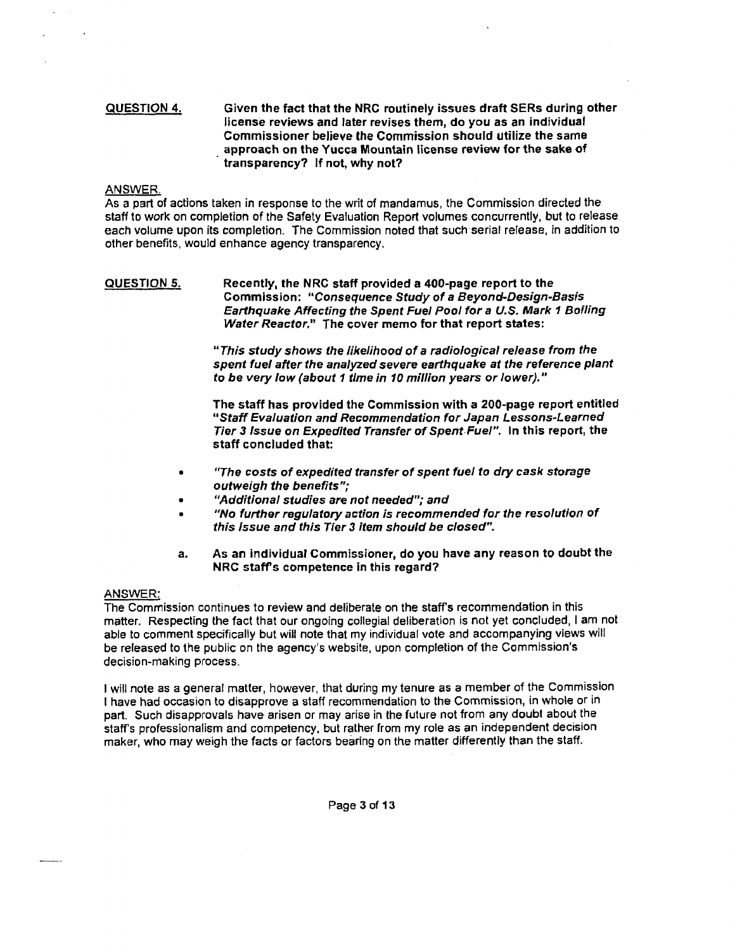### QUESTION 4. Given the fact that the NRC routinely issues draft SERs during other license reviews and later revises them, do you as an individual Commissioner believe the Commission should utilize the same approach on the Yucca Mountain license review for the sake of transparency? If not, why not?

### ANSWER

As a part of actions taken in response to the writ of mandamus, the Commission directed the staff to work on completion of the Safety Evaluation Report volumes concurrently, but to release each volume upon its completion. The Commission noted that such serial release, in addition to other benefits, would enhance agency transparency.

### QUESTION 5. Recently, the NRC staff provided a 400-page report to the Commission: "Consequence Study of a Beyond-Design-Basis Earthquake Affecting the Spent Fuel Pool for a U.S. Mark 1 Boiling Water Reactor." The cover memo for that report states:

"This study shows the likelihood of a radiological release from the spent fuel after the analyzed severe earthquake at the reference plant to be very low (about 1 time in 10 million years or lower)."

The staff has provided the Commission with a 200-page report entitled 11 Staff Evaluation and Recommendation for Japan Lessons-Learned Tier 3 Issue on Expedited Transfer of Spent Fuel". In this report, the staff concluded that:

- "The costs of expedited transfer of spent fuel to dry cask storage outweigh the benefits";
- "Additional studies are not needed"; and
- "No further regulatory action is recommended for the resolution of this Issue and this Tier 3 item should be closed".
- a. As an individuar Commissioner, do you have any reason to doubt the NRC staffs competence in this regard?

### ANSWER:

The Commission continues to review and deliberate on the staffs recommendation in this matter. Respecting the fact that our ongoing collegial deliberation is not yet concluded, I am not able to comment specifically but will note that my individual vote and accompanying views will be released to the public on the agency's website, upon completion of the Commission's decision-making process.

I will note as a general matter, however, that during my tenure as a member of the Commission I have had occasion to disapprove a staff recommendation to the Commission, in whole or in part. Such disapprovals have arisen or may arise in the future not from any doubt about the staff's professionalism and competency, but rather from my role as an independent decision maker, who may weigh the facts or factors bearing on the matter differently than the staff.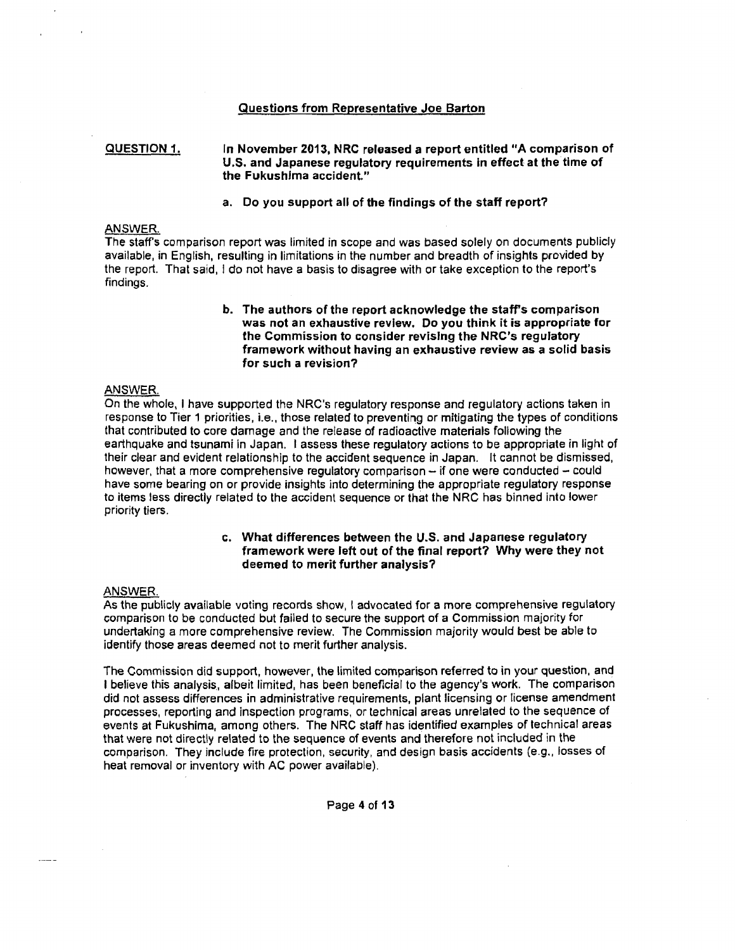### Questions from Representative Joe Barton

#### QUESTION 1. In November 2013, NRC released a report entitled "A comparison of U.S. and Japanese regulatory requirements in effect at the time of the Fukushima accident."

### a. Do you support all of the findings of the staff report?

### ANSWER

The staffs comparison report was limited in scope and was based solely on documents publicly available, in English, resulting in limitations in the number and breadth of insights provided by the report. That said, I do not have a basis to disagree with or take exception to the report's findings.

> b. The authors of the report acknowledge the staff's comparison was not an exhaustive review. Do you think it is appropriate for the Commission to consider revising the NRC's regulatory framework without having an exhaustive review as a solid basis for such a revision?

### ANSWER.

On the whole, I have supported the NRC's regulatory response and regulatory actions taken in response to Tier 1 priorities, i.e., those related to preventing or mitigating the types of conditions that contributed to core damage and the release of radioactive materials following the earthquake and tsunami in Japan. I assess these regulatory actions to be appropriate in light of their clear and evident relationship to the accident sequence in Japan. It cannot be dismissed, however, that a more comprehensive regulatory comparison - if one were conducted - could have some bearing on or provide insights into determining the appropriate regulatory response to items less directly related to the accident sequence or that the NRC has binned into lower priority tiers.

### c. What differences between the U.S. and Japanese regulatory framework were left out of the final report? Why were they not deemed to merit further analysis?

#### ANSWER.

As the publicly available voting records show, I advocated for a more comprehensive regulatory comparison to be conducted but failed to secure the support of a Commission majority for undertaking a more comprehensive review. The Commission majority would best be able to identify those areas deemed not to merit further analysis.

The Commission did support, however, the limited comparison referred to in your question, and I believe this analysis, albeit limited, has been beneficial to the agency's work. The comparison did not assess differences in administrative requirements, plant licensing or license amendment processes, reporting and inspection programs, or technical areas unrelated to the sequence of events at Fukushima, among others. The NRC staff has identified examples of technical areas that were not directly related to the sequence of events and therefore not included in the comparison. They include fire protection, security, and design basis accidents (e.g., losses of heat removal or inventory with AC power available).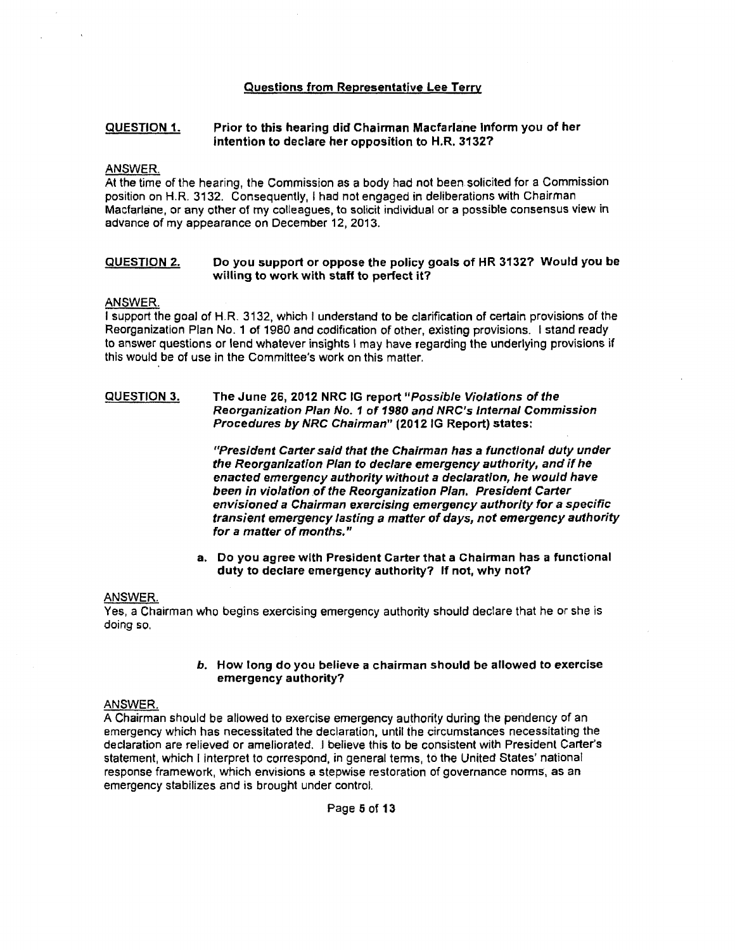### Questions from Representative Lee Terry

#### QUESTION 1. Prior to this hearing did Chairman Macfarlane Inform you of her intention to declare her opposition to H.R. 3132?

### ANSWER.

At the time of the hearing, the Commission as a body had not been solicited for a Commission position on H.R. 3132. Consequently, I had not engaged in deliberations with Chairman Macfarlane, or any other of my colleagues, to solicit individual or a possible consensus view in advance of my appearance on December 12, 2013.

#### QUESTION 2. Do you support or oppose the policy goals of HR 3132? Would you be willing to work with staff to perfect it?

### ANSWER.

I support the goal of H.R. 3132, which I understand to be clarification of certain provisions of the Reorganization Plan No. 1 of 1980 and codification of other, existing provisions. I stand ready to answer questions or lend whatever insights I may have regarding the underlying provisions if this would be of use in the Committee's work on this matter.

#### QUESTION 3. The June 26, 2012 NRC IG report "Possible Violations of the Reorganization Plan No. 1 of *1980* and NRC's Internal Commission Procedures by NRC Chairman" (2012 IG Report) states:

"President Carter said that the Chairman has a functional duty under the Reorganization Plan to declare emergency authority, and if he enacted emergency authority without a declaration, he would have been in violation of the Reorganization Plan. President Carter envisioned a Chairman exercising emergency authority for a specific transient emergency lasting a matter of days, not emergency authority for a matter of months."

a. Do you agree with President Carter that a Chairman has a functional duty to declare emergency authority? If not, why not?

### ANSWER.

Yes, a Chairman who begins exercising emergency authority should declare that he or she is doing so.

### b. How long do you believe a chairman should be allowed to exercise emergency authority?

### ANSWER.

A Chairman should be allowed to exercise emergency authority during the pendency of an emergency which has necessitated the declaration, until the circumstances necessitating the declaration are relieved or ameliorated. I believe this to be consistent with President Carter's statement, which I interpret to correspond, in general terms, to the United States' national response framework, which envisions a stepwise restoration of governance norms, as an emergency stabilizes and is brought under control.

Page 5 of 13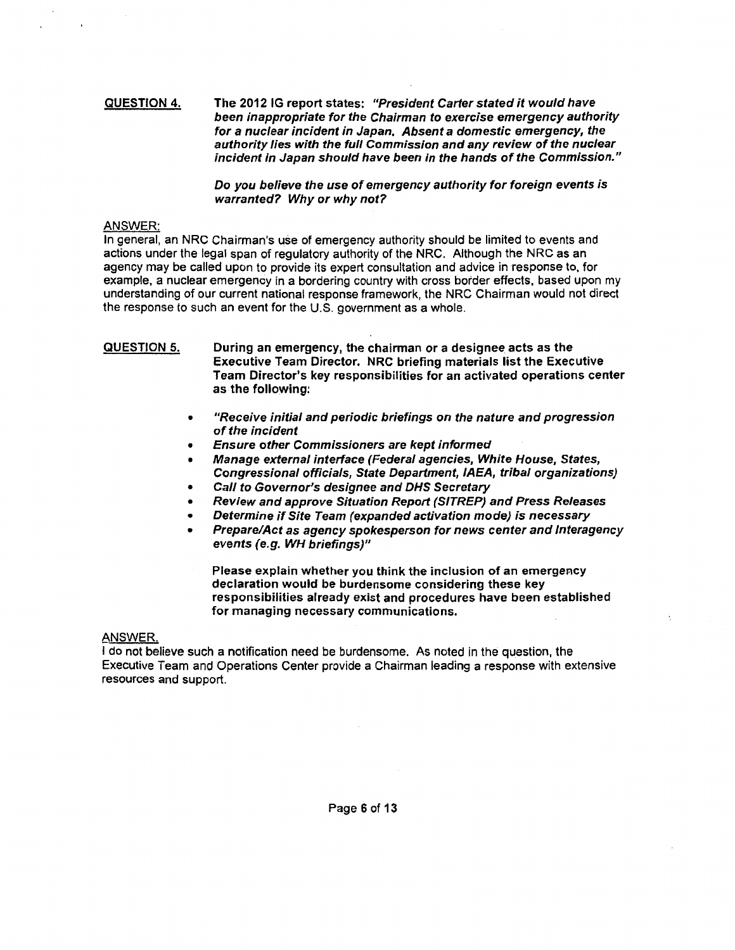#### QUESTION 4. The 2012 IG report states: "President Carter stated it would have been inappropriate for the Chairman to exercise emergency authority for a nuclear incident in Japan. Absent a domestic emergency, the authority lies with the full Commission and any review of the nuclear incident in Japan should have been in the hands of the Commission."

Do you believe the use of emergency authority for foreign events is warranted? Why or why not?

### ANSWER:

In general, an NRC Chairman's use of emergency authority should be limited to events and actions under the legal span of regulatory authority of the NRC. Although the NRC as an agency may be called upon to provide its expert consultation and advice in response to, for example, a nuclear emergency in a bordering country with cross border effects, based upon my understanding of our current national response framework, the NRC Chairman would not direct the response to such an event for the U.S. government as a whole.

QUESTION 5. During an emergency, the chairman or a designee acts as the Executive Team Director. NRC briefing materials list the Executive Team Director's key responsibilities for an activated operations center as the following:

- "Receive initial and periodic briefings on the nature and progression of the incident
- Ensure other Commissioners are kept informed
- Manage external interface (Federal agencies, White House, States, Congressional officials, State Department, JAEA, tribal organizations)
- Call to Governor's deslgnee and DHS Secretary
- Review and approve Situation Report (SITREP) and Press Releases
- Determine if Site Team (expanded activation mode) is necessary
- Prepare/Act as agency spokesperson for news center and Jnteragency events (e.g. WH briefings)"

Please explain whether you think the inclusion of an emergency declaration would be burdensome considering these key responsibilities already exist and procedures have been established for managing necessary communications.

### ANSWER.

I do not believe such a notification need be burdensome. As noted in the question, the Executive Team and Operations Center provide a Chairman leading a response with extensive resources and support.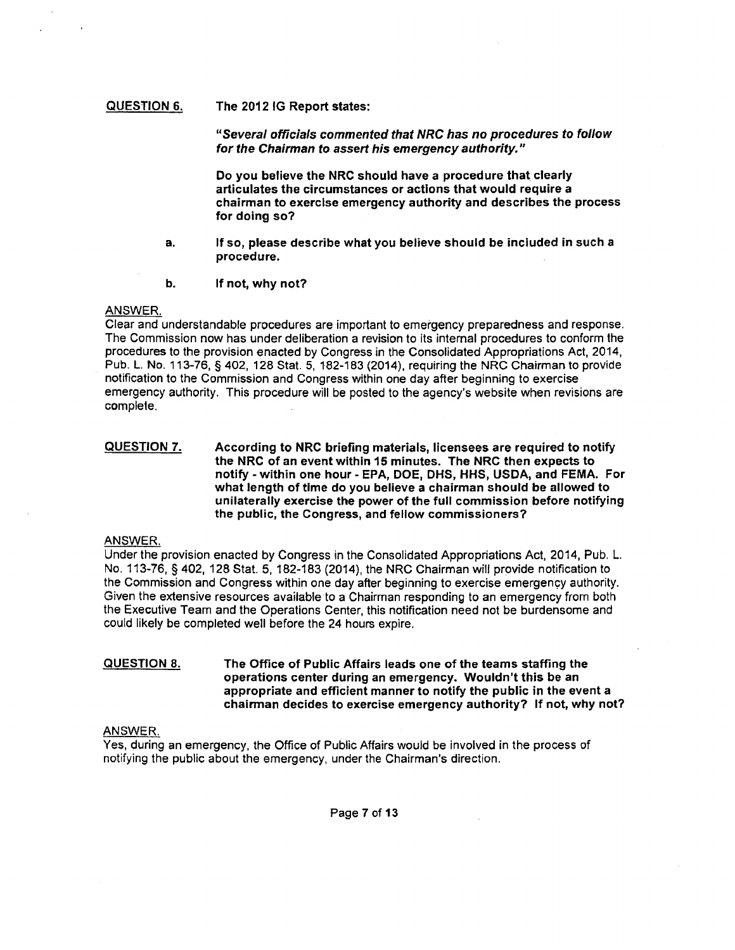### QUESTION 6. The 2012 IG Report states:

"Several officials commented that NRC has no procedures to follow for the Chairman to assert his emergency authority."

Do you believe the NRC should have a procedure that. clearly articulates the circumstances or actions that would require a chairman to exercise emergency authority and describes the process for doing so?

- a. If so, please describe what you believe should be included in such a procedure.
- b. If not, why not?

### ANSWER.

Clear and understandable procedures are important to emergency preparedness and response. The Commission now has under deliberation a revision to its internal procedures to conform the procedures to the provision enacted by Congress in the Consolidated Appropriations Act, 2014, Pub. L. No. 113-76, § 402, 128 Stat. 5, 182-183 (2014), requiring the NRC Chairman to provide notification to the Commission and Congress within one day after beginning to exercise emergency authority. This procedure will be posted to the agency's website when revisions are complete.

QUESTION 7. According to NRC briefing materials, licensees are required to notify the NRC of an event within 15 minutes. The NRC then expects to notify - within one hour - EPA, DOE, OHS, HHS, USDA, and FEMA. For what length of time do you believe a chairman should be allowed to unilaterally exercise the power of the full commission before notifying the public, the Congress, and fellow commissioners?

### ANSWER.

Under the provision enacted by Congress in the Consolidated Appropriations Act, 2014, Pub. L. No. 113-76, § 402, 128 Stat. 5, 182-183 (2014), the NRC Chairman will provide notification to the Commission and Congress within one day after beginning to exercise emergency authority. Given the extensive resources available to a Chairman responding to an emergency from both the Executive Team and the Operations Center, this notification need not be burdensome and could likely be completed well before the 24 hours expire.

#### QUESTION 8. The Office of Public Affairs leads one of the teams staffing the operations center during an emergency. Wouldn't this be an appropriate and efficient manner to notify the public in the event a chairman decides to exercise emergency authority? If not, why not?

### ANSWER.

Yes, during an emergency, the Office of Public Affairs would be involved in the process of notifying the public about the emergency, under the Chairman's direction.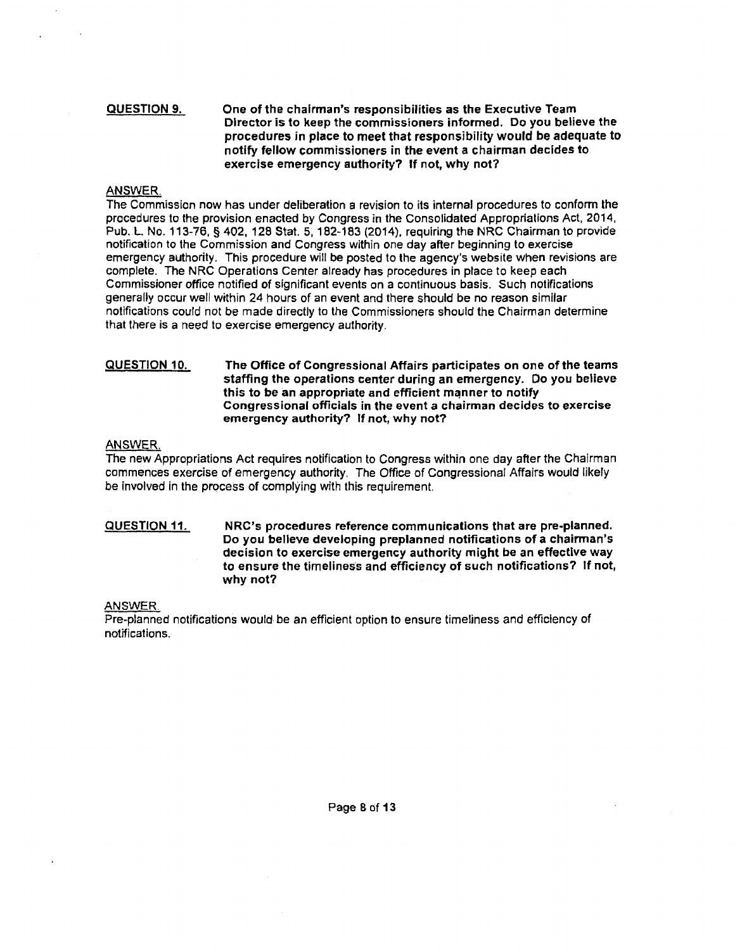### QUESTION 9. One of the chairman's responsibilities as the Executive Team Director is to keep the commissioners informed. Do you believe the procedures in place to meet that responsibility would be adequate to notify fellow commissioners in the event a chairman decides to exercise emergency authority? If not, why not?

### ANSWER.

The Commission now has under deliberation a revision to its internal procedures to conform the procedures to the provision enacted by Congress in the Consolidated Appropriations Act, 2014, Pub.L No. 113-76, § 402, 128 Stat. 5, 182-183 (2014), requiring the NRC Chairman to provide notification to the Commission and Congress within one day after beginning to exercise emergency authority. This procedure will be posted to the agency's website when revisions are complete. The NRC Operations Center already has procedures in place to keep each Commissioner office notified of significant events on a continuous basis. Such notifications generally occur well within 24 hours of an event and there should be no reason similar notifications could not be made directly to the Commissioners should the Chairman determine that there is a need to exercise emergency authority.

#### QUESTION 10. The Office of Congressional Affairs participates on one of the teams staffing the operations center during an emergency. Do you believe this to be an appropriate and efficient manner to notify Congressional officials in the event a chairman decides to exercise emergency authority? If not, why not?

### ANSWER

The new Appropriations Act requires notification to Congress within one day after the Chairman commences exercise of emergency authority. The Office of Congressional Affairs would likely be involved in the process of complying with this requirement.

QUESTION 11. NRC's procedures reference communications that are pre-planned. Do you believe developing preplanned notifications of a chairman's decision to exercise emergency authority might be an effective way to ensure the timeliness and efficiency of such notifications? If not, why not?

### ANSWER.

Pre-planned notifications would be an efficient option to ensure timeliness and efficiency of notifications.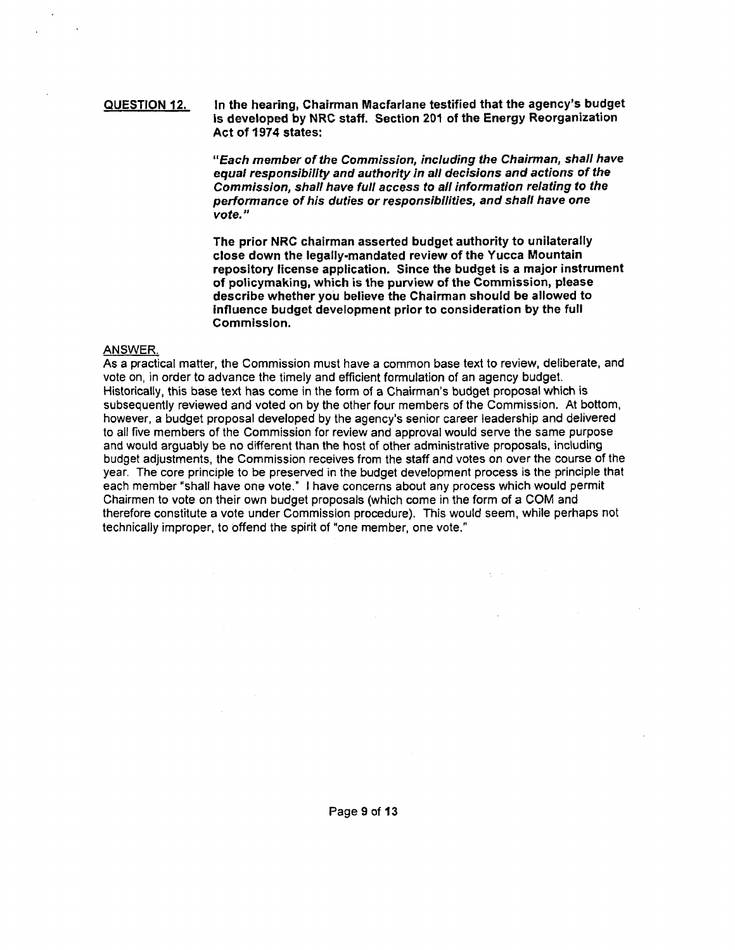#### QUESTION 12. In the hearing, Chairman Macfarlane testified that the agency's budget is developed by NRC staff. Section 201 of the Energy Reorganization Act of 1974 states:

"Each member of the Commission, including the Chairman, shall have equal responsibility and authority in all decisions and actions of the Commission, shall have full access to all information relating to the performance of his duties or responsibf/ities, and shall have one vote."

The prior NRC chairman asserted budget authority to unilaterally close down the legally-mandated review of the Yucca Mountain repository license application. Since the budget is a major instrument of policymaking, which is the purview of the Commission, please describe whether you believe the Chairman should be allowed to influence budget development prior to consideration by the full Commission.

### ANSWER.

As a practical matter, the Commission must have a common base text to review, deliberate, and vote on, in order to advance the timely and efficient formulation of an agency budget. Historically, this base text has come in the form of a Chairman's budget proposal which is subsequently reviewed and voted on by the other four members of the Commission. At bottom, however, a budget proposal developed by the agency's senior career leadership and delivered to all five members of the Commission for review and approval would serve the same purpose and would arguably be no different than the host of other administrative proposals, including budget adjustments, the Commission receives from the staff and votes on over the course of the year. The core principle to be preserved in the budget development process is the principle that each member "shall have one vote." I have concerns about any process which would permit Chairmen to vote on their own budget proposals (which come in the form of a COM and therefore constitute a vote under Commission procedure). This would seem, while perhaps not technically improper, to offend the spirit of "one member, one vote."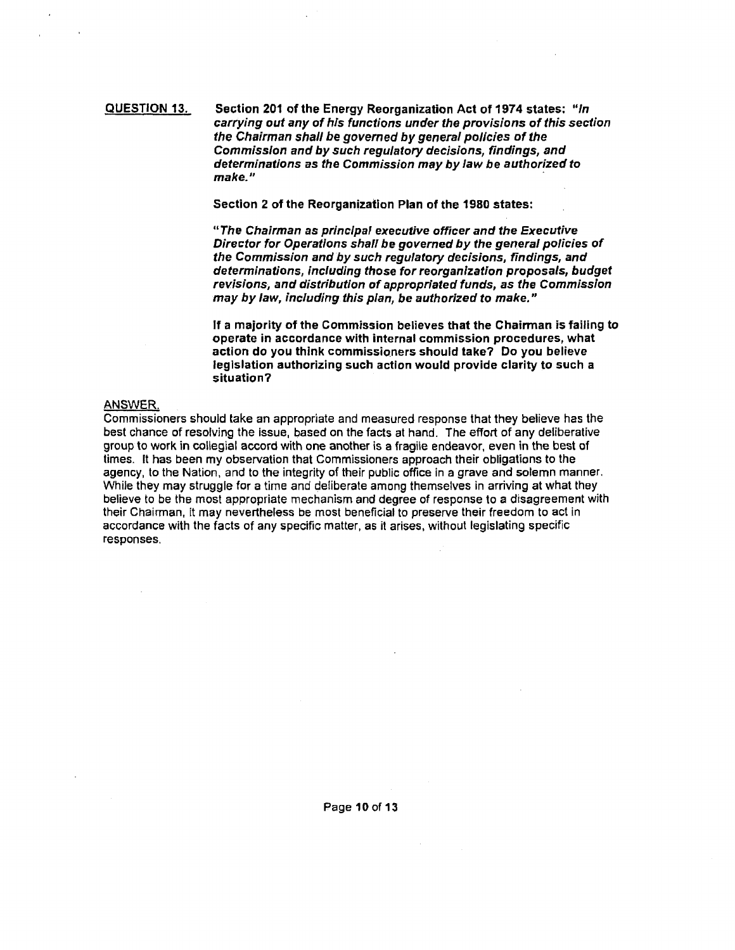### QUESTION 13. Section 201 of the Energy Reorganization Act of 1974 states: "In carrying out any of his functions under the provisions of this section the Chairman shall be governed by general policies of the Commission and by such regulatory decisions, findings, and determinations as the Commission may by law be authorized to make."

Section 2 of the Reorganization Plan of the 1980 states:

"The Chairman as principal executive officer and the Executive Director for Operations shall be governed by the general policies of the Commission and by such regulatory decisions, findings, and determinations, including those for reorganization proposals, budget revisions, and distribution of appropriated funds, as the Commission may by law, including this plan, be authorized to make."

If a majority of the Commission believes that the Chairman is failing to operate in accordance with internal commission procedures, what action do you think commissioners should take? Do you believe legislation authorizing such action would provide clarity to such a situation?

### ANSWER.

Commissioners should take an appropriate and measured response that they believe has the best chance of resolving the issue, based on the facts at hand. The effort of any deliberative group to work in collegial accord with one another is a fragile endeavor, even in the best of times. It has been my observation that Commissioners approach their obligations to the agency, to the Nation, and to the integrity of their public office in a grave and solemn manner. While they may struggle for a time and deliberate among themselves in arriving at what they believe to be the most appropriate mechanism and degree of response to a disagreement with their Chainnan, it may nevertheless be most beneficial to preserve their freedom to act in accordance with the facts of any specific matter, as it arises, without legislating specific responses.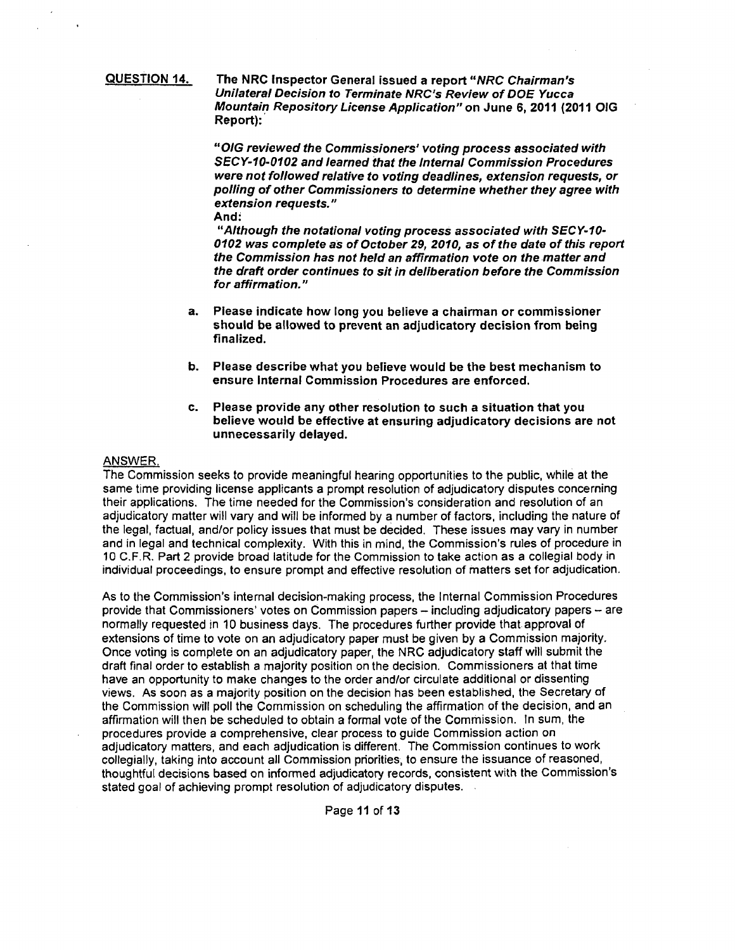QUESTION 14.

The NRC Inspector General issued a report "NRC Chairman's Unilateral Decision to Terminate NRC's Review of DOE Yucca Mountain Repository License Application" on June 6, 2011 (2011 OIG Report):

"OIG reviewed the Commissioners' voting process associated with SECY-10-0102 and learned that the Internal Commission Procedures were not followed relative to voting deadlines, extension requests, or polling of other Commissioners to determine whether they agree with extension requests."

And:

"Although the notational voting process associated with SECY-10- 0102 was complete as of October 29, 2010, as of the date of this report the Commission has not held an affirmation vote on the matter and the draft order continues to sit in deliberation before the Commission for affirmation."

- a. Please indicate how long you believe a chairman or commissioner should be allowed to prevent an adjudicatory decision from being finalized.
- b. Please describe what you believe would be the best mechanism to ensure Internal Commission Procedures are enforced.
- c. Please provide any other resolution to such a situation that you believe would be effective at ensuring adjudicatory decisions are not unnecessarily delayed.

### ANSWER.

The Commission seeks to provide meaningful hearing opportunities to the public, while at the same time providing license applicants a prompt resolution of adjudicatory disputes concerning their applications. The time needed for the Commission's consideration and resolution of an adjudicatory matter will vary and will be informed by a number of factors, including the nature of the legal, factual, and/or policy issues that must be decided. These issues may vary in number and in legal and technical complexity. With this in mind, the Commission's rules of procedure in 10 C.F.R. Part 2 provide broad latitude for the Commission to take action as a collegial body in individual proceedings, to ensure prompt and effective resolution of matters set for adjudication.

As to the Commission's internal decision-making process, the Internal Commission Procedures provide that Commissioners' votes on Commission papers - including adjudicatory papers - are normally requested in 10 business days. The procedures further provide that approval of extensions of time to vote on an adjudicatory paper must be given by a Commission majority. Once voting is complete on an adjudicatory paper, the NRC adjudicatory staff will submit the draft final order to establish a majority position on the decision. Commissioners at that time have an opportunity to make changes to the order ahd/or circulate additional or dissenting views. As soon as a majority position on the decision has been established, the Secretary of the Commission will poll the Commission on scheduling the affirmation of the decision, and an affirmation will then be scheduled to obtain a formal vote of the Commission. In sum, the procedures provide a comprehensive, clear process to guide Commission action on adjudicatory matters, and each adjudication is different. The Commission continues to work collegially, taking into account all Commission priorities, to ensure the issuance of reasoned, thoughtful decisions based on informed adjudicatory records, consistent with the Commission's stated goal of achieving prompt resolution of adjudicatory disputes.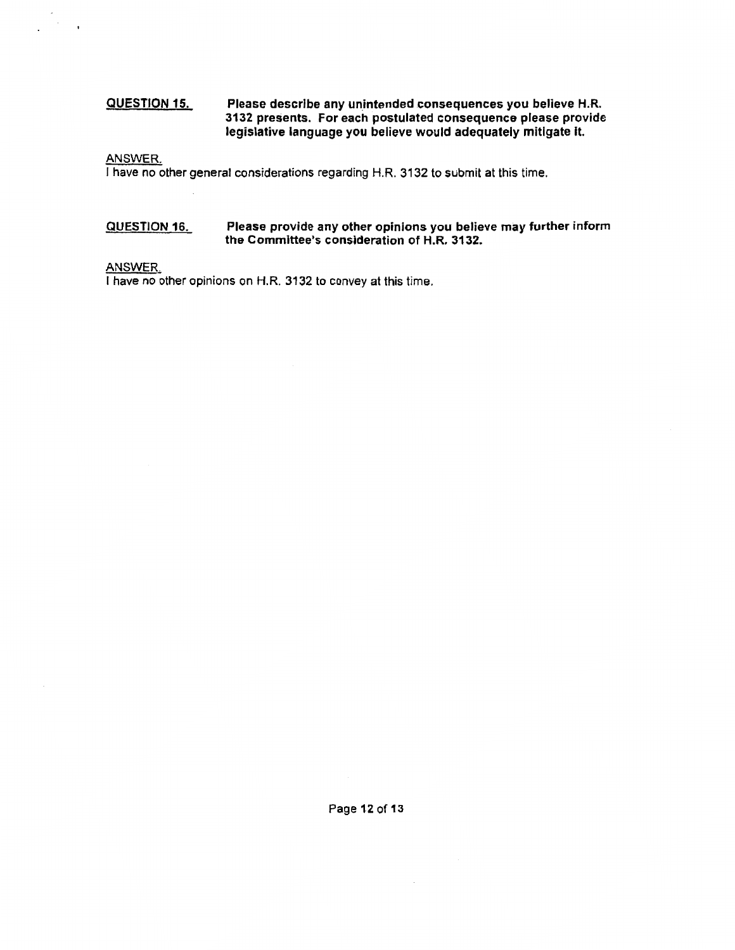#### QUESTION 15. Please describe any unintended consequences you believe H.R. 3132 presents. For each postulated consequence please provide legislative language you believe would adequately mitigate It.

ANSWER.

 $\overline{\phantom{a}}$ 

I have no other general considerations regarding H.R. 3132 to submit at this time.

#### QUESTION 16. Please provide any other opinions you believe may further inform the Committee's consideration of H.R. 3132.

### ANSWER.

I have no other opinions on H.R. 3132 to convey at this time.